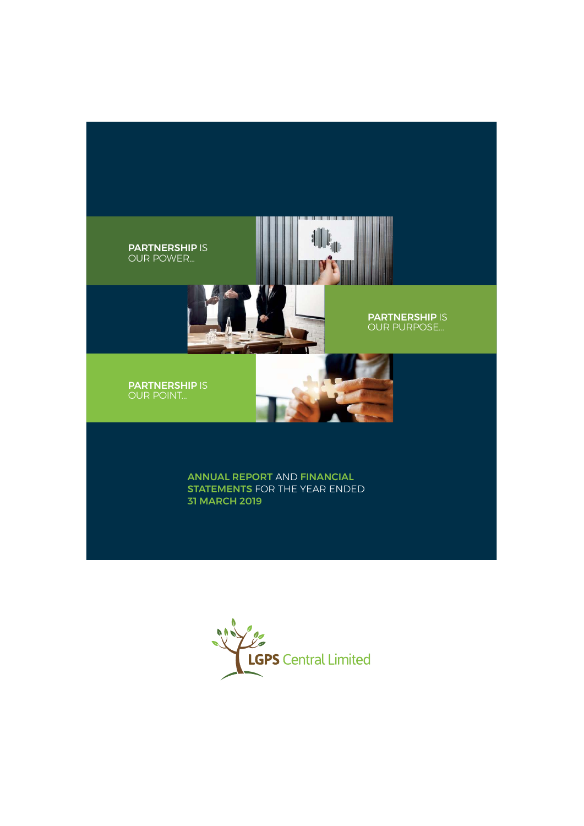



# PARTNERSHIP IS OUR PURPOSE...

# PARTNERSHIP IS OUR POINT...



<u>i kan kan kan ka</u>

ANNUAL REPORT AND FINANCIAL STATEMENTS FOR THE YEAR ENDED 31 MARCH 2019

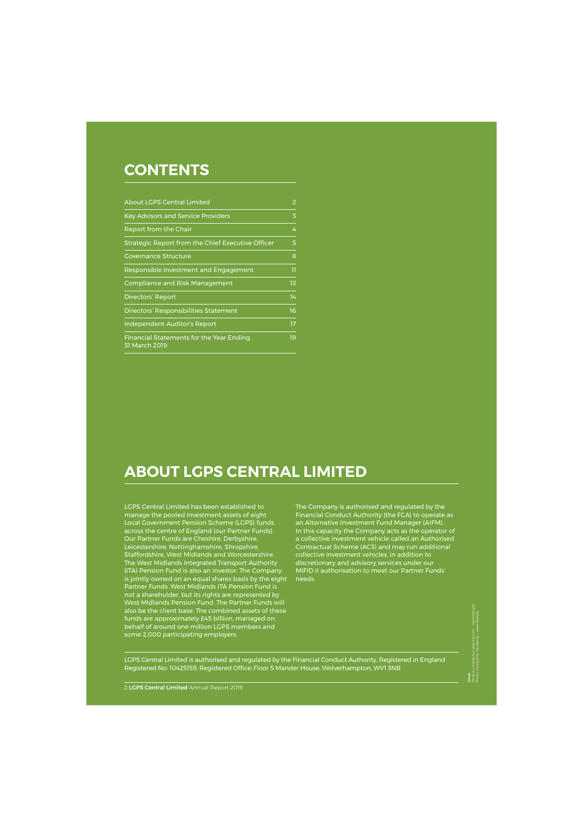# **CONTENTS**

| <b>About LGPS Central Limited</b>                                | 2  |
|------------------------------------------------------------------|----|
| <b>Key Advisors and Service Providers</b>                        | 3  |
| Report from the Chair                                            | 4  |
| Strategic Report from the Chief Executive Officer                | 5  |
| <b>Governance Structure</b>                                      | 8  |
| Responsible Investment and Engagement                            | וו |
| <b>Compliance and Risk Management</b>                            | 13 |
| Directors' Report                                                | 14 |
| Directors' Responsibilities Statement                            | 16 |
| Independent Auditor's Report                                     | 17 |
| <b>Financial Statements for the Year Ending</b><br>31 March 2019 | 19 |

# **ABOUT LGPS CENTRAL LIMITED**

LGPS Central Limited has been established to manage the pooled investment assets of eight Local Government Pension Scheme (LGPS) funds across the centre of England (our Partner Funds). Our Partner Funds are Cheshire, Derbyshire, Leicestershire, Nottinghamshire, Shropshire, Staffordshire, West Midlands and Worcestershire. The West Midlands Integrated Transport Authority (ITA) Pension Fund is also an investor. The Company is jointly owned on an equal shares basis by the eight Partner Funds. West Midlands ITA Pension Fund is not a shareholder, but its rights are represented by West Midlands Pension Fund. The Partner Funds will also be the client base. The combined assets of these funds are approximately £45 billion, managed on behalf of around one million LGPS members and some 2,000 participating employers.

The Company is authorised and regulated by the Financial Conduct Authority (the FCA) to operate as an Alternative Investment Fund Manager (AIFM). In this capacity the Company acts as the operator of a collective investment vehicle called an Authorised Contractual Scheme (ACS) and may run additional collective investment vehicles, in addition to discretionary and advisory services under our MiFID II authorisation to meet our Partner Funds' needs.

LGPS Central Limited is authorised and regulated by the Financial Conduct Authority. Registered in England Registered No: 10425159. Registered Office: Floor 5 Mander House, Wolverhampton, WV1 3NB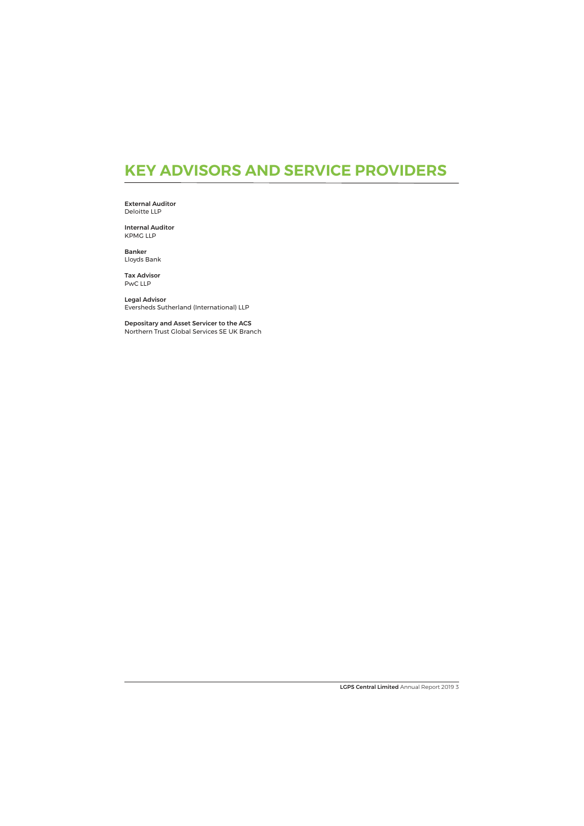# **KEY ADVISORS AND SERVICE PROVIDERS**

External Auditor Deloitte LLP

Internal Auditor KPMG LLP

Banker Lloyds Bank

Tax Advisor PwC LLP

Legal Advisor Eversheds Sutherland (International) LLP

Depositary and Asset Servicer to the ACS Northern Trust Global Services SE UK Branch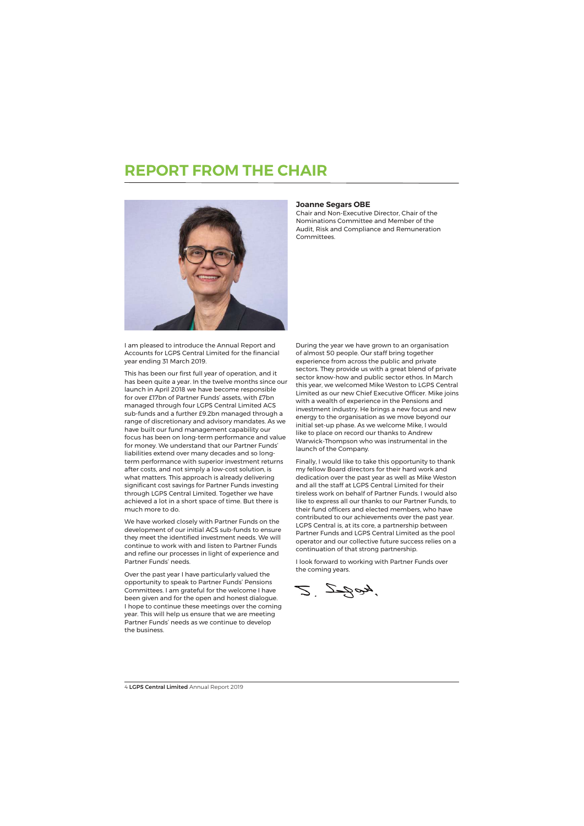# **REPORT FROM THE CHAIR**



I am pleased to introduce the Annual Report and Accounts for LGPS Central Limited for the financial year ending 31 March 2019.

This has been our first full year of operation, and it has been quite a year. In the twelve months since our launch in April 2018 we have become responsible for over £17bn of Partner Funds' assets, with £7bn managed through four LGPS Central Limited ACS sub-funds and a further £9.2bn managed through a range of discretionary and advisory mandates. As we have built our fund management capability our focus has been on long-term performance and value for money. We understand that our Partner Funds' liabilities extend over many decades and so longterm performance with superior investment returns after costs, and not simply a low-cost solution, is what matters. This approach is already delivering significant cost savings for Partner Funds investing through LGPS Central Limited. Together we have achieved a lot in a short space of time. But there is much more to do.

We have worked closely with Partner Funds on the development of our initial ACS sub-funds to ensure they meet the identified investment needs. We will continue to work with and listen to Partner Funds and refine our processes in light of experience and Partner Funds' needs.

Over the past year I have particularly valued the opportunity to speak to Partner Funds' Pensions Committees. I am grateful for the welcome I have been given and for the open and honest dialogue. I hope to continue these meetings over the coming year. This will help us ensure that we are meeting Partner Funds' needs as we continue to develop the business.

### **Joanne Segars OBE**

Chair and Non-Executive Director, Chair of the Nominations Committee and Member of the Audit, Risk and Compliance and Remuneration Committees.

During the year we have grown to an organisation of almost 50 people. Our staff bring together experience from across the public and private sectors. They provide us with a great blend of private sector know-how and public sector ethos. In March this year, we welcomed Mike Weston to LGPS Central Limited as our new Chief Executive Officer. Mike joins with a wealth of experience in the Pensions and investment industry. He brings a new focus and new energy to the organisation as we move beyond our initial set-up phase. As we welcome Mike, I would like to place on record our thanks to Andrew Warwick-Thompson who was instrumental in the launch of the Company.

Finally, I would like to take this opportunity to thank my fellow Board directors for their hard work and dedication over the past year as well as Mike Weston and all the staff at LGPS Central Limited for their tireless work on behalf of Partner Funds. I would also like to express all our thanks to our Partner Funds, to their fund officers and elected members, who have contributed to our achievements over the past year. LGPS Central is, at its core, a partnership between Partner Funds and LGPS Central Limited as the pool operator and our collective future success relies on a continuation of that strong partnership.

I look forward to working with Partner Funds over the coming years.

 $Z$   $Z$ forf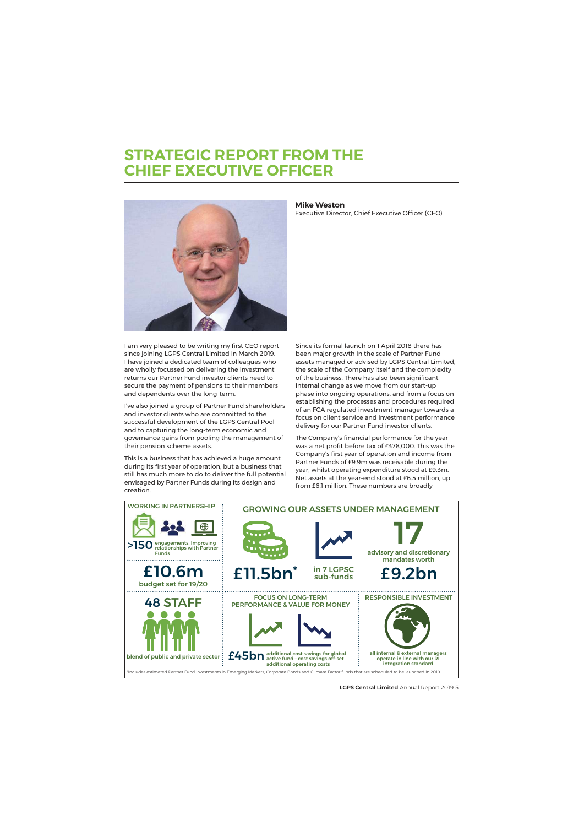# **STRATEGIC REPORT FROM THE CHIEF EXECUTIVE OFFICER**



I am very pleased to be writing my first CEO report since joining LGPS Central Limited in March 2019. I have joined a dedicated team of colleagues who are wholly focussed on delivering the investment returns our Partner Fund investor clients need to secure the payment of pensions to their members and dependents over the long-term.

I've also joined a group of Partner Fund shareholders and investor clients who are committed to the successful development of the LGPS Central Pool and to capturing the long-term economic and governance gains from pooling the management of their pension scheme assets.

This is a business that has achieved a huge amount during its first year of operation, but a business that still has much more to do to deliver the full potential envisaged by Partner Funds during its design and creation.

### **Mike Weston**

Executive Director, Chief Executive Officer (CEO)

Since its formal launch on 1 April 2018 there has been major growth in the scale of Partner Fund assets managed or advised by LGPS Central Limited, the scale of the Company itself and the complexity of the business. There has also been significant internal change as we move from our start-up phase into ongoing operations, and from a focus on establishing the processes and procedures required of an FCA regulated investment manager towards a focus on client service and investment performance delivery for our Partner Fund investor clients.

The Company's financial performance for the year was a net profit before tax of £378,000. This was the Company's first year of operation and income from Partner Funds of £9.9m was receivable during the year, whilst operating expenditure stood at £9.3m. Net assets at the year-end stood at £6.5 million, up from £6.1 million. These numbers are broadly

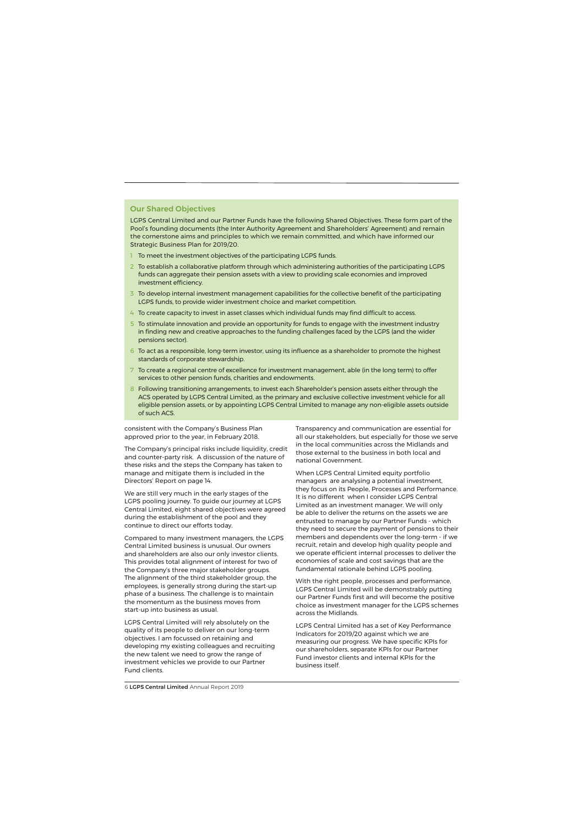# Our Shared Objectives

LGPS Central Limited and our Partner Funds have the following Shared Objectives. These form part of the Pool's founding documents (the Inter Authority Agreement and Shareholders' Agreement) and remain the cornerstone aims and principles to which we remain committed, and which have informed our Strategic Business Plan for 2019/20.

- 1 To meet the investment objectives of the participating LGPS funds.
- 2 To establish a collaborative platform through which administering authorities of the participating LGPS funds can aggregate their pension assets with a view to providing scale economies and improved investment efficiency.
- 3 To develop internal investment management capabilities for the collective benefit of the participating LGPS funds, to provide wider investment choice and market competition.
- 4 To create capacity to invest in asset classes which individual funds may find difficult to access.
- 5 To stimulate innovation and provide an opportunity for funds to engage with the investment industry in finding new and creative approaches to the funding challenges faced by the LGPS (and the wider pensions sector).
- 6 To act as a responsible, long-term investor, using its influence as a shareholder to promote the highest standards of corporate stewardship.
- 7 To create a regional centre of excellence for investment management, able (in the long term) to offer services to other pension funds, charities and endowments.
- 8 Following transitioning arrangements, to invest each Shareholder's pension assets either through the ACS operated by LGPS Central Limited, as the primary and exclusive collective investment vehicle for all eligible pension assets, or by appointing LGPS Central Limited to manage any non-eligible assets outside of such ACS.

consistent with the Company's Business Plan approved prior to the year, in February 2018.

The Company's principal risks include liquidity, credit and counter-party risk. A discussion of the nature of these risks and the steps the Company has taken to manage and mitigate them is included in the Directors' Report on page 14.

We are still very much in the early stages of the LGPS pooling journey. To guide our journey at LGPS Central Limited, eight shared objectives were agreed during the establishment of the pool and they continue to direct our efforts today.

Compared to many investment managers, the LGPS Central Limited business is unusual. Our owners and shareholders are also our only investor clients. This provides total alignment of interest for two of the Company's three major stakeholder groups. The alignment of the third stakeholder group, the employees, is generally strong during the start-up phase of a business. The challenge is to maintain the momentum as the business moves from start-up into business as usual.

LGPS Central Limited will rely absolutely on the quality of its people to deliver on our long-term objectives. I am focussed on retaining and developing my existing colleagues and recruiting the new talent we need to grow the range of investment vehicles we provide to our Partner Fund clients.

Transparency and communication are essential for all our stakeholders, but especially for those we serve in the local communities across the Midlands and those external to the business in both local and national Government.

When LGPS Central Limited equity portfolio managers are analysing a potential investment, they focus on its People, Processes and Performance. It is no different when I consider LGPS Central Limited as an investment manager. We will only be able to deliver the returns on the assets we are entrusted to manage by our Partner Funds - which they need to secure the payment of pensions to their members and dependents over the long-term - if we recruit, retain and develop high quality people and we operate efficient internal processes to deliver the economies of scale and cost savings that are the fundamental rationale behind LGPS pooling.

With the right people, processes and performance, LGPS Central Limited will be demonstrably putting our Partner Funds first and will become the positive choice as investment manager for the LGPS schemes across the Midlands.

LGPS Central Limited has a set of Key Performance Indicators for 2019/20 against which we are measuring our progress. We have specific KPIs for our shareholders, separate KPIs for our Partner Fund investor clients and internal KPIs for the business itself.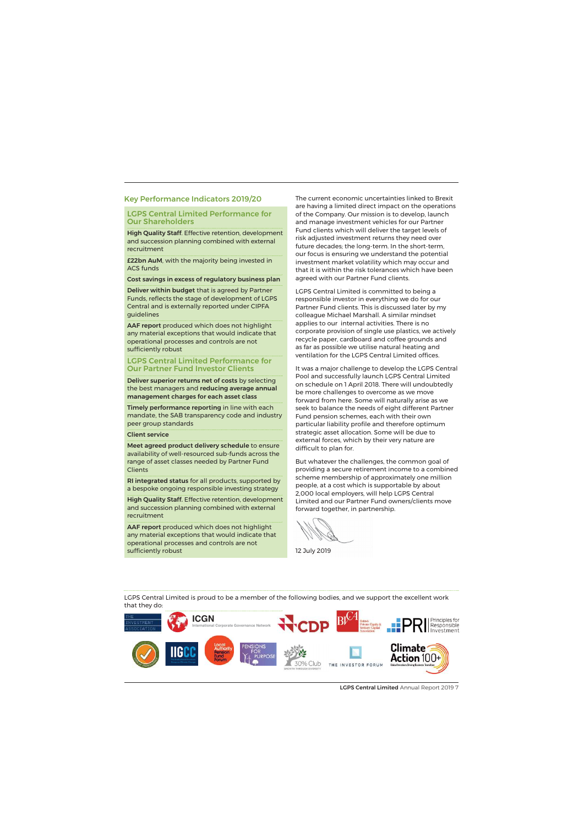# Key Performance Indicators 2019/20

## LGPS Central Limited Performance for Our Shareholders

High Quality Staff. Effective retention, development and succession planning combined with external recruitment

£22bn AuM, with the majority being invested in ACS funds

### Cost savings in excess of regulatory business plan

Deliver within budget that is agreed by Partner Funds, reflects the stage of development of LGPS Central and is externally reported under CIPFA guidelines

AAF report produced which does not highlight any material exceptions that would indicate that operational processes and controls are not sufficiently robust

## LGPS Central Limited Performance for Our Partner Fund Investor Clients

Deliver superior returns net of costs by selecting the best managers and reducing average annual management charges for each asset class

Timely performance reporting in line with each mandate, the SAB transparency code and industry peer group standards

### Client service

Meet agreed product delivery schedule to ensure availability of well-resourced sub-funds across the range of asset classes needed by Partner Fund **Clients** 

RI integrated status for all products, supported by a bespoke ongoing responsible investing strategy

High Quality Staff. Effective retention, development and succession planning combined with external recruitment

AAF report produced which does not highlight any material exceptions that would indicate that operational processes and controls are not sufficiently robust

The current economic uncertainties linked to Brexit are having a limited direct impact on the operations of the Company. Our mission is to develop, launch and manage investment vehicles for our Partner Fund clients which will deliver the target levels of risk adjusted investment returns they need over future decades; the long-term. In the short-term, our focus is ensuring we understand the potential investment market volatility which may occur and that it is within the risk tolerances which have been agreed with our Partner Fund clients.

LGPS Central Limited is committed to being a responsible investor in everything we do for our Partner Fund clients. This is discussed later by my colleague Michael Marshall. A similar mindset applies to our internal activities. There is no corporate provision of single use plastics, we actively recycle paper, cardboard and coffee grounds and as far as possible we utilise natural heating and ventilation for the LGPS Central Limited offices.

It was a major challenge to develop the LGPS Central Pool and successfully launch LGPS Central Limited on schedule on 1 April 2018. There will undoubtedly be more challenges to overcome as we move forward from here. Some will naturally arise as we seek to balance the needs of eight different Partner Fund pension schemes, each with their own particular liability profile and therefore optimum strategic asset allocation. Some will be due to external forces, which by their very nature are difficult to plan for.

But whatever the challenges, the common goal of providing a secure retirement income to a combined scheme membership of approximately one million people, at a cost which is supportable by about 2,000 local employers, will help LGPS Central Limited and our Partner Fund owners/clients move forward together, in partnership.

12 July 2019

LGPS Central Limited is proud to be a member of the following bodies, and we support the excellent work that they do:

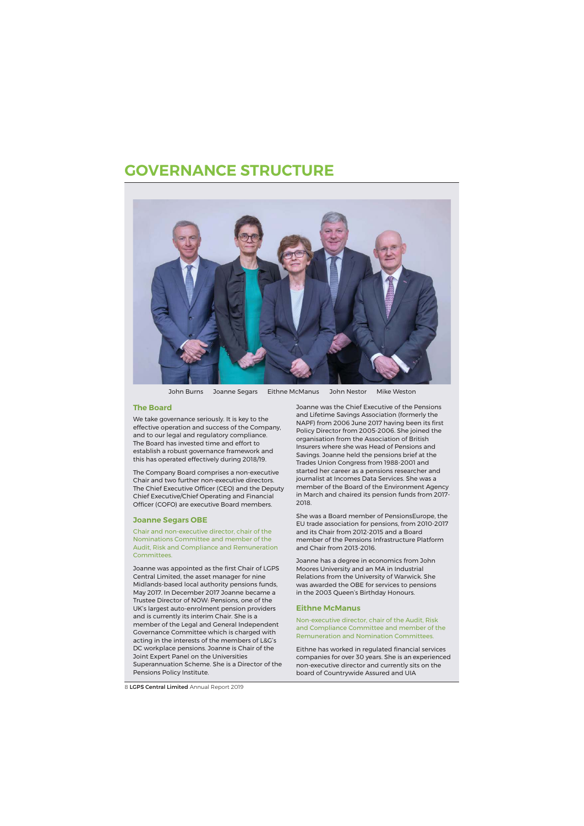# **GOVERNANCE STRUCTURE**



John Burns Joanne Segars Eithne McManus John Nestor Mike Weston

## **The Board**

We take governance seriously. It is key to the effective operation and success of the Company, and to our legal and regulatory compliance. The Board has invested time and effort to establish a robust governance framework and this has operated effectively during 2018/19.

The Company Board comprises a non-executive Chair and two further non-executive directors. The Chief Executive Officer (CEO) and the Deputy Chief Executive/Chief Operating and Financial Officer (COFO) are executive Board members.

## **Joanne Segars OBE**

Chair and non-executive director, chair of the Nominations Committee and member of the Audit, Risk and Compliance and Remuneration **Committees** 

Joanne was appointed as the first Chair of LGPS Central Limited, the asset manager for nine Midlands-based local authority pensions funds, May 2017. In December 2017 Joanne became a Trustee Director of NOW: Pensions, one of the UK's largest auto-enrolment pension providers and is currently its interim Chair. She is a member of the Legal and General Independent Governance Committee which is charged with acting in the interests of the members of L&G's DC workplace pensions. Joanne is Chair of the Joint Expert Panel on the Universities Superannuation Scheme. She is a Director of the Pensions Policy Institute.

Joanne was the Chief Executive of the Pensions and Lifetime Savings Association (formerly the NAPF) from 2006 June 2017 having been its first Policy Director from 2005-2006. She joined the organisation from the Association of British Insurers where she was Head of Pensions and Savings. Joanne held the pensions brief at the Trades Union Congress from 1988-2001 and started her career as a pensions researcher and journalist at Incomes Data Services. She was a member of the Board of the Environment Agency in March and chaired its pension funds from 2017- 2018.

She was a Board member of PensionsEurope, the EU trade association for pensions, from 2010-2017 and its Chair from 2012-2015 and a Board member of the Pensions Infrastructure Platform and Chair from 2013-2016.

Joanne has a degree in economics from John Moores University and an MA in Industrial Relations from the University of Warwick. She was awarded the OBE for services to pensions in the 2003 Queen's Birthday Honours.

## **Eithne McManus**

Non-executive director, chair of the Audit, Risk and Compliance Committee and member of the Remuneration and Nomination Committees.

Eithne has worked in regulated financial services companies for over 30 years. She is an experienced non-executive director and currently sits on the board of Countrywide Assured and UIA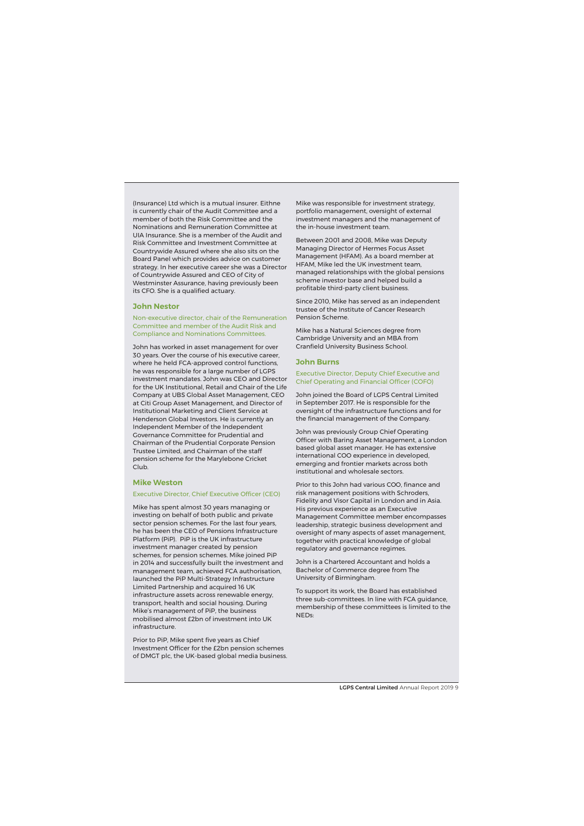(Insurance) Ltd which is a mutual insurer. Eithne is currently chair of the Audit Committee and a member of both the Risk Committee and the Nominations and Remuneration Committee at UIA Insurance. She is a member of the Audit and Risk Committee and Investment Committee at Countrywide Assured where she also sits on the Board Panel which provides advice on customer strategy. In her executive career she was a Director of Countrywide Assured and CEO of City of Westminster Assurance, having previously been its CFO. She is a qualified actuary.

## **John Nestor**

Non-executive director, chair of the Remuneration Committee and member of the Audit Risk and Compliance and Nominations Committees.

John has worked in asset management for over 30 years. Over the course of his executive career, where he held FCA-approved control functions, he was responsible for a large number of LGPS investment mandates. John was CEO and Director for the UK Institutional, Retail and Chair of the Life Company at UBS Global Asset Management, CEO at Citi Group Asset Management, and Director of Institutional Marketing and Client Service at Henderson Global Investors. He is currently an Independent Member of the Independent Governance Committee for Prudential and Chairman of the Prudential Corporate Pension Trustee Limited, and Chairman of the staff pension scheme for the Marylebone Cricket Club.

## **Mike Weston**

## Executive Director, Chief Executive Officer (CEO)

Mike has spent almost 30 years managing or investing on behalf of both public and private sector pension schemes. For the last four years, he has been the CEO of Pensions Infrastructure Platform (PiP). PiP is the UK infrastructure investment manager created by pension schemes, for pension schemes. Mike joined PiP in 2014 and successfully built the investment and management team, achieved FCA authorisation, launched the PiP Multi-Strategy Infrastructure Limited Partnership and acquired 16 UK infrastructure assets across renewable energy, transport, health and social housing. During Mike's management of PiP, the business mobilised almost £2bn of investment into UK infrastructure.

Prior to PiP, Mike spent five years as Chief Investment Officer for the £2bn pension schemes of DMGT plc, the UK-based global media business. Mike was responsible for investment strategy, portfolio management, oversight of external investment managers and the management of the in-house investment team.

Between 2001 and 2008, Mike was Deputy Managing Director of Hermes Focus Asset Management (HFAM). As a board member at HFAM, Mike led the UK investment team, managed relationships with the global pensions scheme investor base and helped build a profitable third-party client business.

Since 2010, Mike has served as an independent trustee of the Institute of Cancer Research Pension Scheme.

Mike has a Natural Sciences degree from Cambridge University and an MBA from Cranfield University Business School.

## **John Burns**

Executive Director, Deputy Chief Executive and Chief Operating and Financial Officer (COFO)

John joined the Board of LGPS Central Limited in September 2017. He is responsible for the oversight of the infrastructure functions and for the financial management of the Company.

John was previously Group Chief Operating Officer with Baring Asset Management, a London based global asset manager. He has extensive international COO experience in developed, emerging and frontier markets across both institutional and wholesale sectors.

Prior to this John had various COO, finance and risk management positions with Schroders, Fidelity and Visor Capital in London and in Asia. His previous experience as an Executive Management Committee member encompasses leadership, strategic business development and oversight of many aspects of asset management, together with practical knowledge of global regulatory and governance regimes.

John is a Chartered Accountant and holds a Bachelor of Commerce degree from The University of Birmingham.

To support its work, the Board has established three sub-committees. In line with FCA guidance, membership of these committees is limited to the NEDs: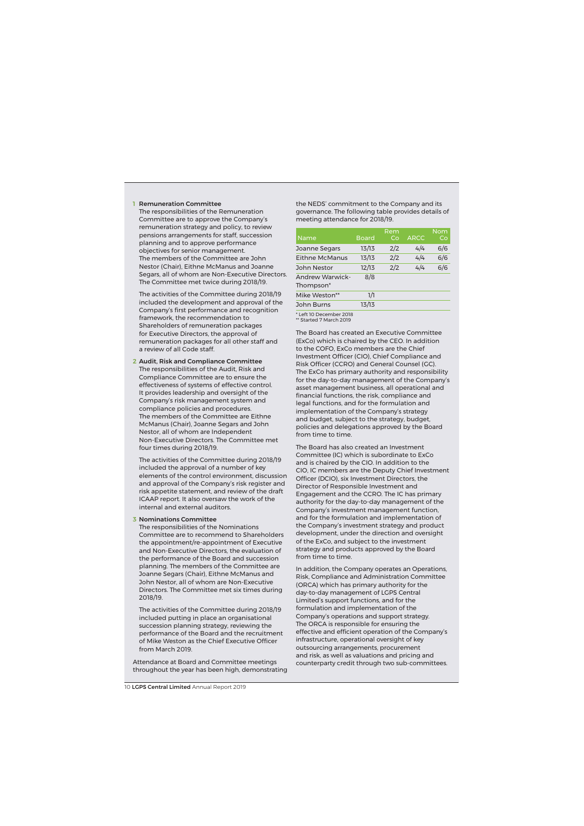### 1 Remuneration Committee

 The responsibilities of the Remuneration Committee are to approve the Company's remuneration strategy and policy, to review pensions arrangements for staff, succession planning and to approve performance objectives for senior management. The members of the Committee are John Nestor (Chair), Eithne McManus and Joanne Segars, all of whom are Non-Executive Directors. The Committee met twice during 2018/19.

 The activities of the Committee during 2018/19 included the development and approval of the Company's first performance and recognition framework, the recommendation to Shareholders of remuneration packages for Executive Directors, the approval of remuneration packages for all other staff and a review of all Code staff.

### 2 Audit, Risk and Compliance Committee The responsibilities of the Audit, Risk and Compliance Committee are to ensure the effectiveness of systems of effective control. It provides leadership and oversight of the Company's risk management system and compliance policies and procedures. The members of the Committee are Eithne McManus (Chair), Joanne Segars and John Nestor, all of whom are Independent Non-Executive Directors. The Committee met four times during 2018/19.

 The activities of the Committee during 2018/19 included the approval of a number of key elements of the control environment, discussion and approval of the Company's risk register and risk appetite statement, and review of the draft ICAAP report. It also oversaw the work of the internal and external auditors.

### 3 Nominations Committee

 The responsibilities of the Nominations Committee are to recommend to Shareholders the appointment/re-appointment of Executive and Non-Executive Directors, the evaluation of the performance of the Board and succession planning. The members of the Committee are Joanne Segars (Chair), Eithne McManus and John Nestor, all of whom are Non-Executive Directors. The Committee met six times during 2018/19.

 The activities of the Committee during 2018/19 included putting in place an organisational succession planning strategy, reviewing the performance of the Board and the recruitment of Mike Weston as the Chief Executive Officer from March 2019.

Attendance at Board and Committee meetings throughout the year has been high, demonstrating the NEDS' commitment to the Company and its governance. The following table provides details of meeting attendance for 2018/19.

|                         |              | Rem |             | <b>Nom</b> |
|-------------------------|--------------|-----|-------------|------------|
| <b>Name</b>             | <b>Board</b> | Co  | <b>ARCC</b> | Co         |
| Joanne Segars           | 13/13        | 2/2 | 4/4         | 6/6        |
| <b>Eithne McManus</b>   | 13/13        | 2/2 | 4/4         | 6/6        |
| John Nestor             | 12/13        | 2/2 | 4/4         | 6/6        |
| Andrew Warwick-         | 8/8          |     |             |            |
| Thompson <sup>*</sup>   |              |     |             |            |
| Mike Weston**           | 1/1          |     |             |            |
| John Burns              | 13/13        |     |             |            |
| * Left 10 December 2018 |              |     |             |            |

\*\* Started 7 March 2019

The Board has created an Executive Committee (ExCo) which is chaired by the CEO. In addition to the COFO, ExCo members are the Chief Investment Officer (CIO), Chief Compliance and Risk Officer (CCRO) and General Counsel (GC). The ExCo has primary authority and responsibility for the day-to-day management of the Company's asset management business, all operational and financial functions, the risk, compliance and legal functions, and for the formulation and implementation of the Company's strategy and budget, subject to the strategy, budget, policies and delegations approved by the Board from time to time.

The Board has also created an Investment Committee (IC) which is subordinate to ExCo and is chaired by the CIO. In addition to the CIO, IC members are the Deputy Chief Investment Officer (DCIO), six Investment Directors, the Director of Responsible Investment and Engagement and the CCRO. The IC has primary authority for the day-to-day management of the Company's investment management function, and for the formulation and implementation of the Company's investment strategy and product development, under the direction and oversight of the ExCo, and subject to the investment strategy and products approved by the Board from time to time.

In addition, the Company operates an Operations, Risk, Compliance and Administration Committee (ORCA) which has primary authority for the day-to-day management of LGPS Central Limited's support functions, and for the formulation and implementation of the Company's operations and support strategy. The ORCA is responsible for ensuring the effective and efficient operation of the Company's infrastructure, operational oversight of key outsourcing arrangements, procurement and risk, as well as valuations and pricing and counterparty credit through two sub-committees.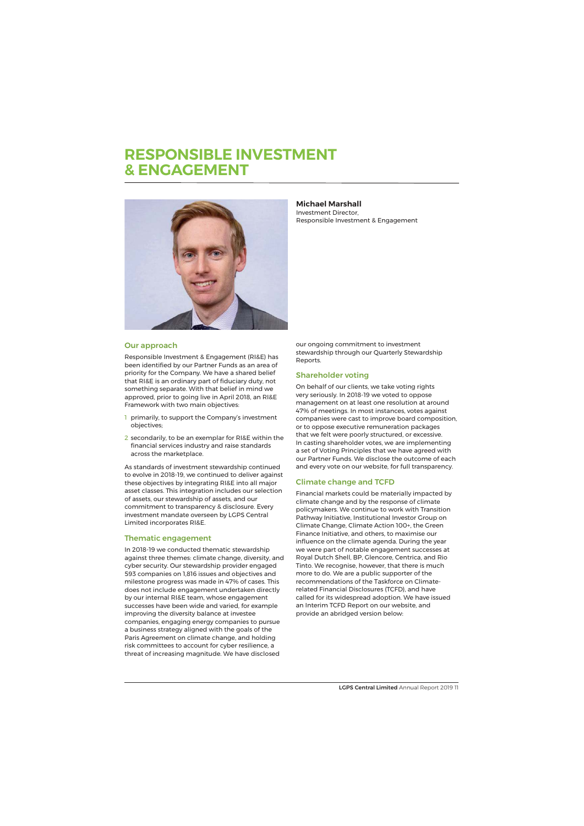# **RESPONSIBLE INVESTMENT & ENGAGEMENT**



**Michael Marshall** Investment Director, Responsible Investment & Engagement

# Our approach

Responsible Investment & Engagement (RI&E) has been identified by our Partner Funds as an area of priority for the Company. We have a shared belief that RI&E is an ordinary part of fiduciary duty, not something separate. With that belief in mind we approved, prior to going live in April 2018, an RI&E Framework with two main objectives:

- 1 primarily, to support the Company's investment objectives;
- 2 secondarily, to be an exemplar for RI&E within the financial services industry and raise standards across the marketplace.

As standards of investment stewardship continued to evolve in 2018-19, we continued to deliver against these objectives by integrating RI&E into all major asset classes. This integration includes our selection of assets, our stewardship of assets, and our commitment to transparency & disclosure. Every investment mandate overseen by LGPS Central Limited incorporates RI&E.

## Thematic engagement

In 2018-19 we conducted thematic stewardship against three themes: climate change, diversity, and cyber security. Our stewardship provider engaged 593 companies on 1,816 issues and objectives and milestone progress was made in 47% of cases. This does not include engagement undertaken directly by our internal RI&E team, whose engagement successes have been wide and varied, for example improving the diversity balance at investee companies, engaging energy companies to pursue a business strategy aligned with the goals of the Paris Agreement on climate change, and holding risk committees to account for cyber resilience, a threat of increasing magnitude. We have disclosed

our ongoing commitment to investment stewardship through our Quarterly Stewardship Reports.

# Shareholder voting

On behalf of our clients, we take voting rights very seriously. In 2018-19 we voted to oppose management on at least one resolution at around 47% of meetings. In most instances, votes against companies were cast to improve board composition, or to oppose executive remuneration packages that we felt were poorly structured, or excessive. In casting shareholder votes, we are implementing a set of Voting Principles that we have agreed with our Partner Funds. We disclose the outcome of each and every vote on our website, for full transparency.

# Climate change and TCFD

Financial markets could be materially impacted by climate change and by the response of climate policy makers. We continue to work with Transition Pathway Initiative, Institutional Investor Group on Climate Change, Climate Action 100+, the Green Finance Initiative, and others, to maximise our influence on the climate agenda. During the year we were part of notable engagement successes at Royal Dutch Shell, BP, Glencore, Centrica, and Rio Tinto. We recognise, however, that there is much more to do. We are a public supporter of the recommendations of the Taskforce on Climaterelated Financial Disclosures (TCFD), and have called for its widespread adoption. We have issued an Interim TCFD Report on our website, and provide an abridged version below: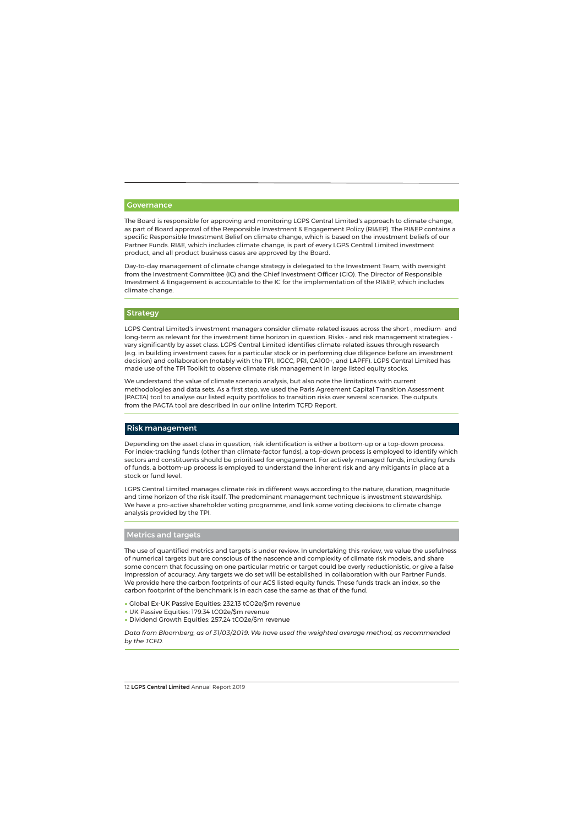### **Governance**

The Board is responsible for approving and monitoring LGPS Central Limited's approach to climate change, as part of Board approval of the Responsible Investment & Engagement Policy (RI&EP). The RI&EP contains a specific Responsible Investment Belief on climate change, which is based on the investment beliefs of our Partner Funds. RI&E, which includes climate change, is part of every LGPS Central Limited investment product, and all product business cases are approved by the Board.

Day-to-day management of climate change strategy is delegated to the Investment Team, with oversight from the Investment Committee (IC) and the Chief Investment Officer (CIO). The Director of Responsible Investment & Engagement is accountable to the IC for the implementation of the RI&EP, which includes climate change.

### Strategy

LGPS Central Limited's investment managers consider climate-related issues across the short-, medium- and long-term as relevant for the investment time horizon in question. Risks - and risk management strategies vary significantly by asset class. LGPS Central Limited identifies climate-related issues through research (e.g. in building investment cases for a particular stock or in performing due diligence before an investment decision) and collaboration (notably with the TPI, IIGCC, PRI, CA100+, and LAPFF). LGPS Central Limited has made use of the TPI Toolkit to observe climate risk management in large listed equity stocks.

We understand the value of climate scenario analysis, but also note the limitations with current methodologies and data sets. As a first step, we used the Paris Agreement Capital Transition Assessment (PACTA) tool to analyse our listed equity portfolios to transition risks over several scenarios. The outputs from the PACTA tool are described in our online Interim TCFD Report.

## Risk management

Depending on the asset class in question, risk identification is either a bottom-up or a top-down process. For index-tracking funds (other than climate-factor funds), a top-down process is employed to identify which sectors and constituents should be prioritised for engagement. For actively managed funds, including funds of funds, a bottom-up process is employed to understand the inherent risk and any mitigants in place at a stock or fund level.

LGPS Central Limited manages climate risk in different ways according to the nature, duration, magnitude and time horizon of the risk itself. The predominant management technique is investment stewardship. We have a pro-active shareholder voting programme, and link some voting decisions to climate change analysis provided by the TPI.

### Metrics and targets

The use of quantified metrics and targets is under review. In undertaking this review, we value the usefulness of numerical targets but are conscious of the nascence and complexity of climate risk models, and share some concern that focussing on one particular metric or target could be overly reductionistic, or give a false impression of accuracy. Any targets we do set will be established in collaboration with our Partner Funds. We provide here the carbon footprints of our ACS listed equity funds. These funds track an index, so the carbon footprint of the benchmark is in each case the same as that of the fund.

- Global Ex-UK Passive Equities: 232.13 tCO2e/\$m revenue
- UK Passive Equities: 179.34 tCO2e/\$m revenue
- Dividend Growth Equities: 257.24 tCO2e/\$m revenue

*Data from Bloomberg, as of 31/03/2019. We have used the weighted average method, as recommended by the TCFD.*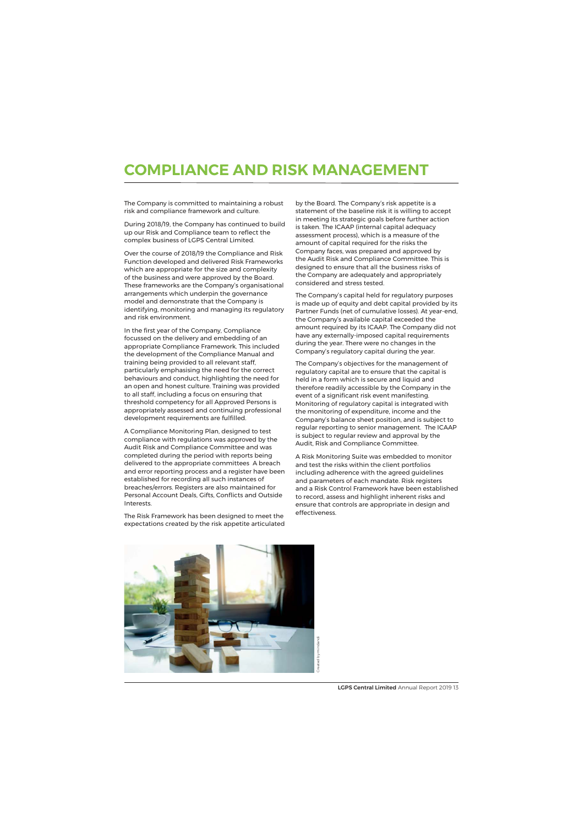# **COMPLIANCE AND RISK MANAGEMENT**

The Company is committed to maintaining a robust risk and compliance framework and culture.

During 2018/19, the Company has continued to build up our Risk and Compliance team to reflect the complex business of LGPS Central Limited.

Over the course of 2018/19 the Compliance and Risk Function developed and delivered Risk Frameworks which are appropriate for the size and complexity of the business and were approved by the Board. These frameworks are the Company's organisational arrangements which underpin the governance model and demonstrate that the Company is identifying, monitoring and managing its regulatory and risk environment.

In the first year of the Company, Compliance focussed on the delivery and embedding of an appropriate Compliance Framework. This included the development of the Compliance Manual and training being provided to all relevant staff, particularly emphasising the need for the correct behaviours and conduct, highlighting the need for an open and honest culture. Training was provided to all staff, including a focus on ensuring that threshold competency for all Approved Persons is appropriately assessed and continuing professional development requirements are fulfilled.

A Compliance Monitoring Plan, designed to test compliance with regulations was approved by the Audit Risk and Compliance Committee and was completed during the period with reports being delivered to the appropriate committees A breach and error reporting process and a register have been established for recording all such instances of breaches/errors. Registers are also maintained for Personal Account Deals, Gifts, Conflicts and Outside Interests.

The Risk Framework has been designed to meet the expectations created by the risk appetite articulated by the Board. The Company's risk appetite is a statement of the baseline risk it is willing to accept in meeting its strategic goals before further action is taken. The ICAAP (internal capital adequacy assessment process), which is a measure of the amount of capital required for the risks the Company faces, was prepared and approved by the Audit Risk and Compliance Committee. This is designed to ensure that all the business risks of the Company are adequately and appropriately considered and stress tested.

The Company's capital held for regulatory purposes is made up of equity and debt capital provided by its Partner Funds (net of cumulative losses). At year-end, the Company's available capital exceeded the amount required by its ICAAP. The Company did not have any externally-imposed capital requirements during the year. There were no changes in the Company's regulatory capital during the year.

The Company's objectives for the management of regulatory capital are to ensure that the capital is held in a form which is secure and liquid and therefore readily accessible by the Company in the event of a significant risk event manifesting. Monitoring of regulatory capital is integrated with the monitoring of expenditure, income and the Company's balance sheet position, and is subject to regular reporting to senior management. The ICAAP is subject to regular review and approval by the Audit, Risk and Compliance Committee.

A Risk Monitoring Suite was embedded to monitor and test the risks within the client portfolios including adherence with the agreed guidelines and parameters of each mandate. Risk registers and a Risk Control Framework have been established to record, assess and highlight inherent risks and ensure that controls are appropriate in design and effectiveness.

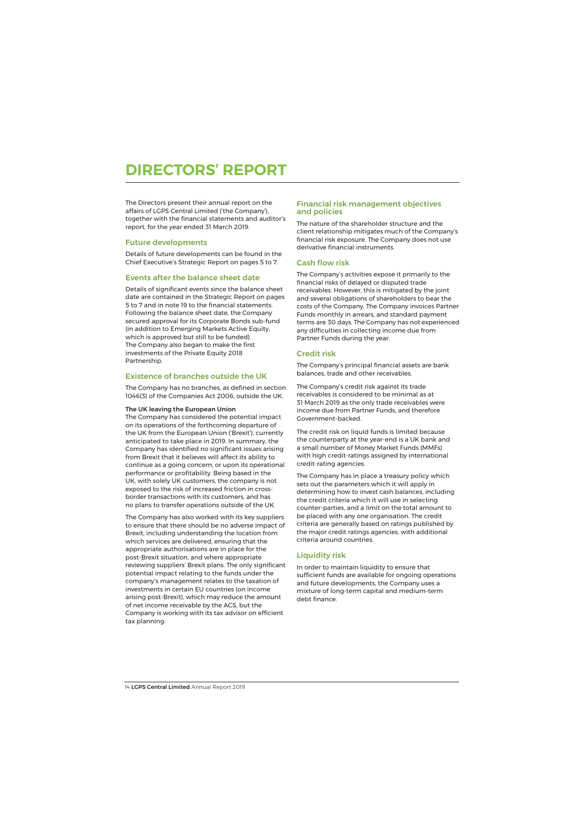# **DIRECTORS' REPORT**

The Directors present their annual report on the affairs of LGPS Central Limited ('the Company'), together with the financial statements and auditor's report, for the year ended 31 March 2019.

## Future developments

Details of future developments can be found in the Chief Executive's Strategic Report on pages 5 to 7.

## Events after the balance sheet date

Details of significant events since the balance sheet date are contained in the Strategic Report on pages 5 to 7 and in note 19 to the financial statements. Following the balance sheet date, the Company secured approval for its Corporate Bonds sub-fund (in addition to Emerging Markets Active Equity, which is approved but still to be funded). The Company also began to make the first investments of the Private Equity 2018 Partnership.

# Existence of branches outside the UK

The Company has no branches, as defined in section 1046(3) of the Companies Act 2006, outside the UK.

## The UK leaving the European Union

The Company has considered the potential impact on its operations of the forthcoming departure of the UK from the European Union ('Brexit'), currently anticipated to take place in 2019. In summary, the Company has identified no significant issues arising from Brexit that it believes will affect its ability to continue as a going concern, or upon its operational performance or profitability. Being based in the UK, with solely UK customers, the company is not exposed to the risk of increased friction in crossborder transactions with its customers, and has no plans to transfer operations outside of the UK.

The Company has also worked with its key suppliers to ensure that there should be no adverse impact of Brexit, including understanding the location from which services are delivered, ensuring that the appropriate authorisations are in place for the post-Brexit situation, and where appropriate reviewing suppliers' Brexit plans. The only significant potential impact relating to the funds under the company's management relates to the taxation of investments in certain EU countries (on income arising post-Brexit), which may reduce the amount of net income receivable by the ACS, but the Company is working with its tax advisor on efficient tax planning.

## Financial risk management objectives and policies

The nature of the shareholder structure and the client relationship mitigates much of the Company's financial risk exposure. The Company does not use derivative financial instruments.

# Cash flow risk

The Company's activities expose it primarily to the financial risks of delayed or disputed trade receivables. However, this is mitigated by the joint and several obligations of shareholders to bear the costs of the Company. The Company invoices Partner Funds monthly in arrears, and standard payment terms are 30 days. The Company has not experienced any difficulties in collecting income due from Partner Funds during the year.

## Credit risk

The Company's principal financial assets are bank balances, trade and other receivables.

The Company's credit risk against its trade receivables is considered to be minimal as at 31 March 2019 as the only trade receivables were income due from Partner Funds, and therefore Government-backed.

The credit risk on liquid funds is limited because the counterparty at the year-end is a UK bank and a small number of Money Market Funds (MMFs) with high credit-ratings assigned by international credit-rating agencies.

The Company has in place a treasury policy which sets out the parameters which it will apply in determining how to invest cash balances, including the credit criteria which it will use in selecting counter-parties, and a limit on the total amount to be placed with any one organisation. The credit criteria are generally based on ratings published by the major credit ratings agencies, with additional criteria around countries.

# Liquidity risk

In order to maintain liquidity to ensure that sufficient funds are available for ongoing operations and future developments, the Company uses a mixture of long-term capital and medium-term debt finance.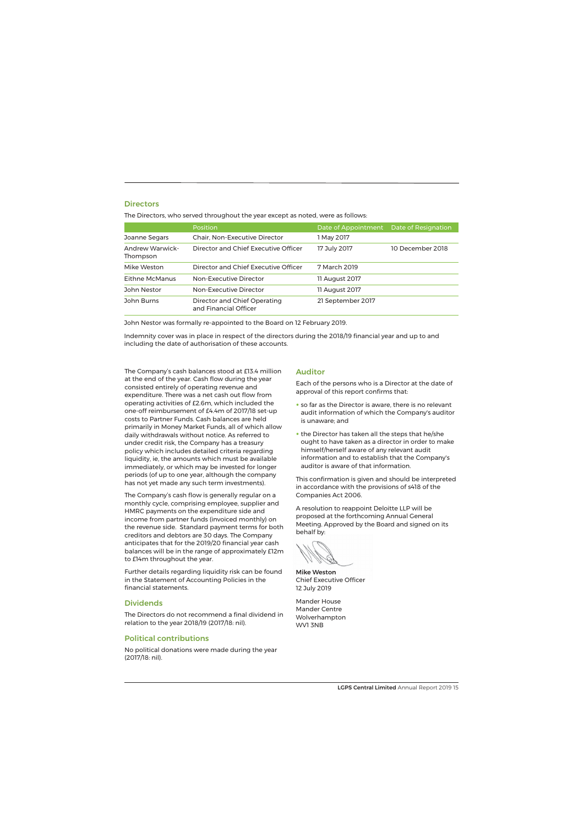## **Directors**

|                             | <b>Position</b>                                       | Date of Appointment | Date of Resignation |
|-----------------------------|-------------------------------------------------------|---------------------|---------------------|
| Joanne Segars               | Chair, Non-Executive Director                         | 1 May 2017          |                     |
| Andrew Warwick-<br>Thompson | Director and Chief Executive Officer                  | 17 July 2017        | 10 December 2018    |
| Mike Weston                 | Director and Chief Executive Officer                  | 7 March 2019        |                     |
| <b>Eithne McManus</b>       | Non-Executive Director                                | 11 August 2017      |                     |
| John Nestor                 | Non-Executive Director                                | 11 August 2017      |                     |
| John Burns                  | Director and Chief Operating<br>and Financial Officer | 21 September 2017   |                     |

The Directors, who served throughout the year except as noted, were as follows:

John Nestor was formally re-appointed to the Board on 12 February 2019.

Indemnity cover was in place in respect of the directors during the 2018/19 financial year and up to and including the date of authorisation of these accounts.

The Company's cash balances stood at £13.4 million at the end of the year. Cash flow during the year consisted entirely of operating revenue and expenditure. There was a net cash out flow from operating activities of £2.6m, which included the one-off reimbursement of £4.4m of 2017/18 set-up costs to Partner Funds. Cash balances are held primarily in Money Market Funds, all of which allow daily withdrawals without notice. As referred to under credit risk, the Company has a treasury policy which includes detailed criteria regarding liquidity, ie, the amounts which must be available immediately, or which may be invested for longer periods (of up to one year, although the company has not yet made any such term investments).

The Company's cash flow is generally regular on a monthly cycle, comprising employee, supplier and HMRC payments on the expenditure side and income from partner funds (invoiced monthly) on the revenue side. Standard payment terms for both creditors and debtors are 30 days. The Company anticipates that for the 2019/20 financial year cash balances will be in the range of approximately £12m to £14m throughout the year.

Further details regarding liquidity risk can be found in the Statement of Accounting Policies in the financial statements.

## Dividends

The Directors do not recommend a final dividend in relation to the year 2018/19 (2017/18: nil).

# Political contributions

No political donations were made during the year (2017/18: nil).

## Auditor

Each of the persons who is a Director at the date of approval of this report confirms that:

- so far as the Director is aware, there is no relevant audit information of which the Company's auditor is unaware; and
- the Director has taken all the steps that he/she ought to have taken as a director in order to make himself/herself aware of any relevant audit information and to establish that the Company's auditor is aware of that information.

This confirmation is given and should be interpreted in accordance with the provisions of s418 of the Companies Act 2006.

A resolution to reappoint Deloitte LLP will be proposed at the forthcoming Annual General Meeting. Approved by the Board and signed on its behalf by:

Mike Weston Chief Executive Officer 12 July 2019

Mander House Mander Centre Wolverhampton WV1 3NB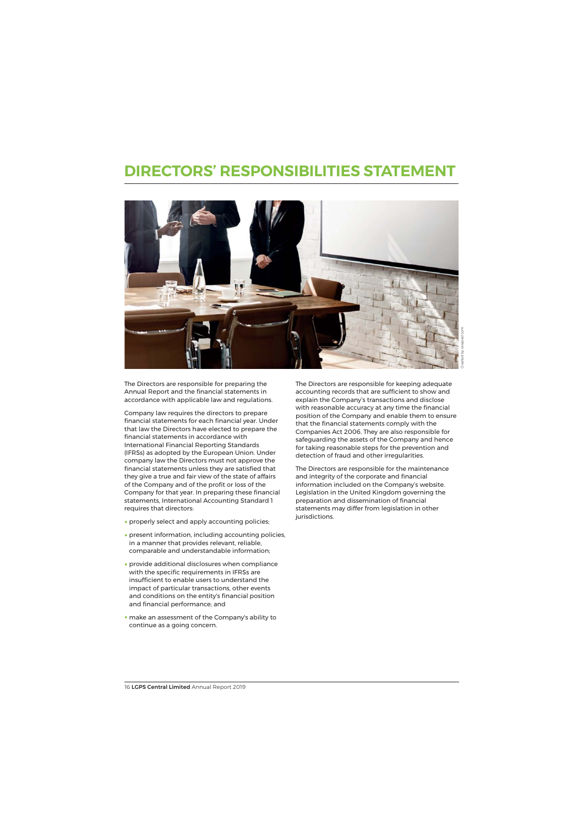# **DIRECTORS' RESPONSIBILITIES STATEMENT**



The Directors are responsible for preparing the Annual Report and the financial statements in accordance with applicable law and regulations.

Company law requires the directors to prepare financial statements for each financial year. Under that law the Directors have elected to prepare the financial statements in accordance with International Financial Reporting Standards (IFRSs) as adopted by the European Union. Under company law the Directors must not approve the financial statements unless they are satisfied that they give a true and fair view of the state of affairs of the Company and of the profit or loss of the Company for that year. In preparing these financial statements, International Accounting Standard 1 requires that directors:

- properly select and apply accounting policies;
- present information, including accounting policies, in a manner that provides relevant, reliable, comparable and understandable information;
- provide additional disclosures when compliance with the specific requirements in IFRSs are insufficient to enable users to understand the impact of particular transactions, other events and conditions on the entity's financial position and financial performance; and
- make an assessment of the Company's ability to continue as a going concern.

The Directors are responsible for keeping adequate accounting records that are sufficient to show and explain the Company's transactions and disclose with reasonable accuracy at any time the financial position of the Company and enable them to ensure that the financial statements comply with the Companies Act 2006. They are also responsible for safeguarding the assets of the Company and hence for taking reasonable steps for the prevention and detection of fraud and other irregularities.

The Directors are responsible for the maintenance and integrity of the corporate and financial information included on the Company's website. Legislation in the United Kingdom governing the preparation and dissemination of financial statements may differ from legislation in other jurisdictions.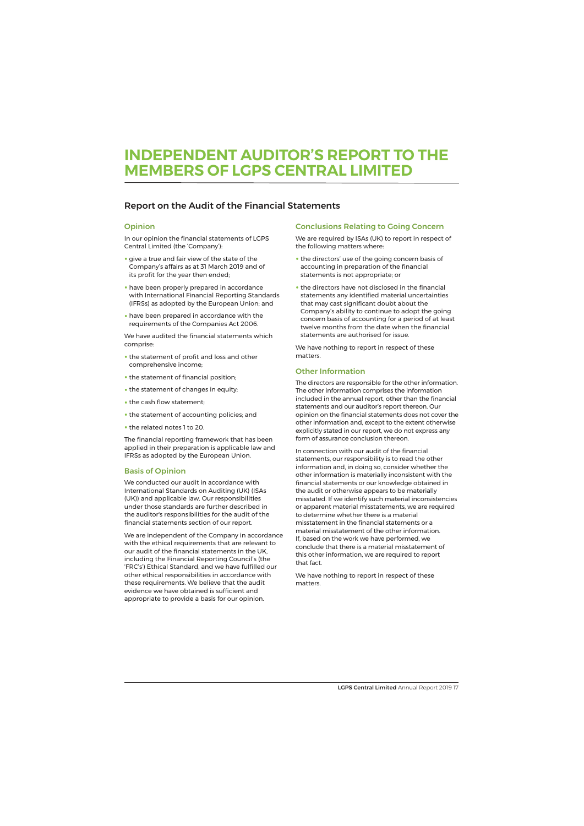# Report on the Audit of the Financial Statements

# **Opinion**

In our opinion the financial statements of LGPS Central Limited (the 'Company'):

- give a true and fair view of the state of the Company's affairs as at 31 March 2019 and of its profit for the year then ended;
- have been properly prepared in accordance with International Financial Reporting Standards (IFRSs) as adopted by the European Union; and
- have been prepared in accordance with the requirements of the Companies Act 2006.

We have audited the financial statements which comprise:

- the statement of profit and loss and other comprehensive income;
- the statement of financial position;
- the statement of changes in equity;
- the cash flow statement:
- the statement of accounting policies; and
- the related notes 1 to 20.

The financial reporting framework that has been applied in their preparation is applicable law and IFRSs as adopted by the European Union.

## Basis of Opinion

We conducted our audit in accordance with International Standards on Auditing (UK) (ISAs (UK)) and applicable law. Our responsibilities under those standards are further described in the auditor's responsibilities for the audit of the financial statements section of our report.

We are independent of the Company in accordance with the ethical requirements that are relevant to our audit of the financial statements in the UK, including the Financial Reporting Council's (the 'FRC's') Ethical Standard, and we have fulfilled our other ethical responsibilities in accordance with these requirements. We believe that the audit evidence we have obtained is sufficient and appropriate to provide a basis for our opinion.

## Conclusions Relating to Going Concern

We are required by ISAs (UK) to report in respect of the following matters where:

- the directors' use of the going concern basis of accounting in preparation of the financial statements is not appropriate; or
- the directors have not disclosed in the financial statements any identified material uncertainties that may cast significant doubt about the Company's ability to continue to adopt the going concern basis of accounting for a period of at least twelve months from the date when the financial statements are authorised for issue.

We have nothing to report in respect of these matters.

# Other Information

The directors are responsible for the other information. The other information comprises the information included in the annual report, other than the financial statements and our auditor's report thereon. Our opinion on the financial statements does not cover the other information and, except to the extent otherwise explicitly stated in our report, we do not express any form of assurance conclusion thereon.

In connection with our audit of the financial statements, our responsibility is to read the other information and, in doing so, consider whether the other information is materially inconsistent with the financial statements or our knowledge obtained in the audit or otherwise appears to be materially misstated. If we identify such material inconsistencies or apparent material misstatements, we are required to determine whether there is a material misstatement in the financial statements or a material misstatement of the other information. If, based on the work we have performed, we conclude that there is a material misstatement of this other information, we are required to report that fact.

We have nothing to report in respect of these matters.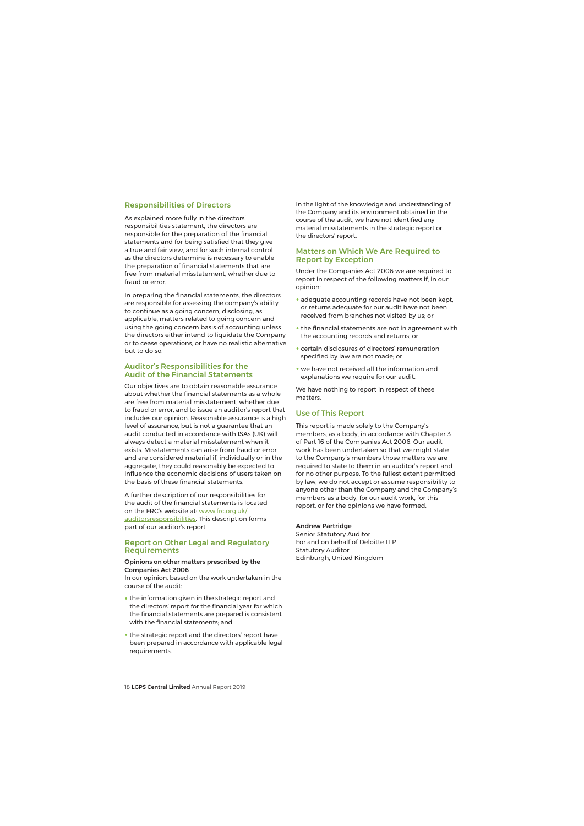# Responsibilities of Directors

As explained more fully in the directors' responsibilities statement, the directors are responsible for the preparation of the financial statements and for being satisfied that they give a true and fair view, and for such internal control as the directors determine is necessary to enable the preparation of financial statements that are free from material misstatement, whether due to fraud or error.

In preparing the financial statements, the directors are responsible for assessing the company's ability to continue as a going concern, disclosing, as applicable, matters related to going concern and using the going concern basis of accounting unless the directors either intend to liquidate the Company or to cease operations, or have no realistic alternative but to do so.

## Auditor's Responsibilities for the Audit of the Financial Statements

Our objectives are to obtain reasonable assurance about whether the financial statements as a whole are free from material misstatement, whether due to fraud or error, and to issue an auditor's report that includes our opinion. Reasonable assurance is a high level of assurance, but is not a guarantee that an audit conducted in accordance with ISAs (UK) will always detect a material misstatement when it exists. Misstatements can arise from fraud or error and are considered material if, individually or in the aggregate, they could reasonably be expected to influence the economic decisions of users taken on the basis of these financial statements.

A further description of our responsibilities for the audit of the financial statements is located on the FRC's website at: www.frc.org.uk/ auditorsresponsibilities. This description forms part of our auditor's report.

## Report on Other Legal and Regulatory Requirements

### Opinions on other matters prescribed by the Companies Act 2006

In our opinion, based on the work undertaken in the course of the audit:

- the information given in the strategic report and the directors' report for the financial year for which the financial statements are prepared is consistent with the financial statements; and
- the strategic report and the directors' report have been prepared in accordance with applicable legal requirements.

In the light of the knowledge and understanding of the Company and its environment obtained in the course of the audit, we have not identified any material misstatements in the strategic report or the directors' report.

## Matters on Which We Are Required to Report by Exception

Under the Companies Act 2006 we are required to report in respect of the following matters if, in our opinion:

- adequate accounting records have not been kept, or returns adequate for our audit have not been received from branches not visited by us; or
- the financial statements are not in agreement with the accounting records and returns; or
- certain disclosures of directors' remuneration specified by law are not made; or
- we have not received all the information and explanations we require for our audit.

We have nothing to report in respect of these matters.

# Use of This Report

This report is made solely to the Company's members, as a body, in accordance with Chapter 3 of Part 16 of the Companies Act 2006. Our audit work has been undertaken so that we might state to the Company's members those matters we are required to state to them in an auditor's report and for no other purpose. To the fullest extent permitted by law, we do not accept or assume responsibility to anyone other than the Company and the Company's members as a body, for our audit work, for this report, or for the opinions we have formed.

### Andrew Partridge

Senior Statutory Auditor For and on behalf of Deloitte LLP Statutory Auditor Edinburgh, United Kingdom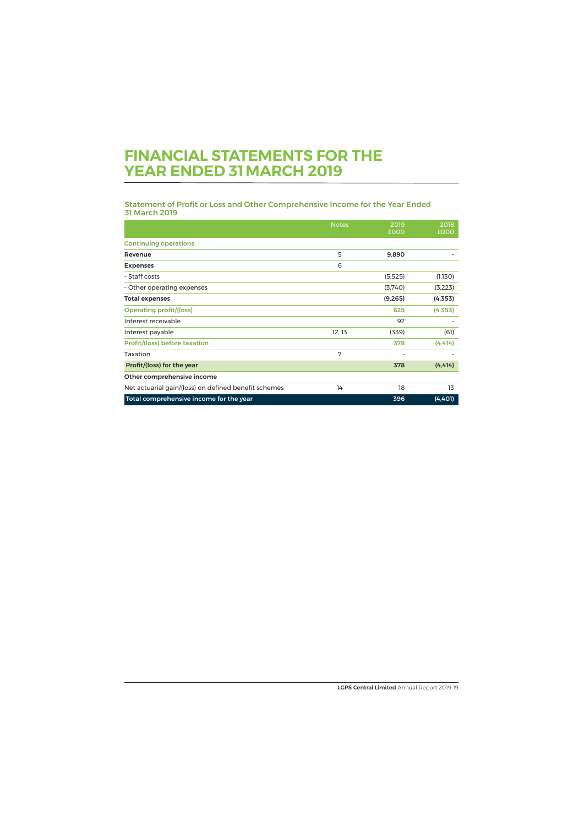# **FINANCIAL STATEMENTS FOR THE YEAR ENDED 31 MARCH 2019**

# Statement of Profit or Loss and Other Comprehensive Income for the Year Ended 31 March 2019

|                                                      | <b>Notes</b> | 2019<br>£000 | 2018<br>£000 |
|------------------------------------------------------|--------------|--------------|--------------|
| <b>Continuing operations</b>                         |              |              |              |
| Revenue                                              | 5            | 9,890        |              |
| <b>Expenses</b>                                      | 6            |              |              |
| - Staff costs                                        |              | (5,525)      | (1,130)      |
| - Other operating expenses                           |              | (3,740)      | (3,223)      |
| <b>Total expenses</b>                                |              | (9,265)      | (4, 353)     |
| <b>Operating profit/(loss)</b>                       |              | 625          | (4,353)      |
| Interest receivable                                  |              | 92           |              |
| Interest payable                                     | 12, 13       | (339)        | (61)         |
| <b>Profit/(loss) before taxation</b>                 |              | 378          | (4, 414)     |
| Taxation                                             | 7            |              |              |
| Profit/(loss) for the year                           |              | 378          | (4, 414)     |
| Other comprehensive income                           |              |              |              |
| Net actuarial gain/(loss) on defined benefit schemes | 14           | 18           | 13           |
| Total comprehensive income for the year              |              | 396          | (4,401)      |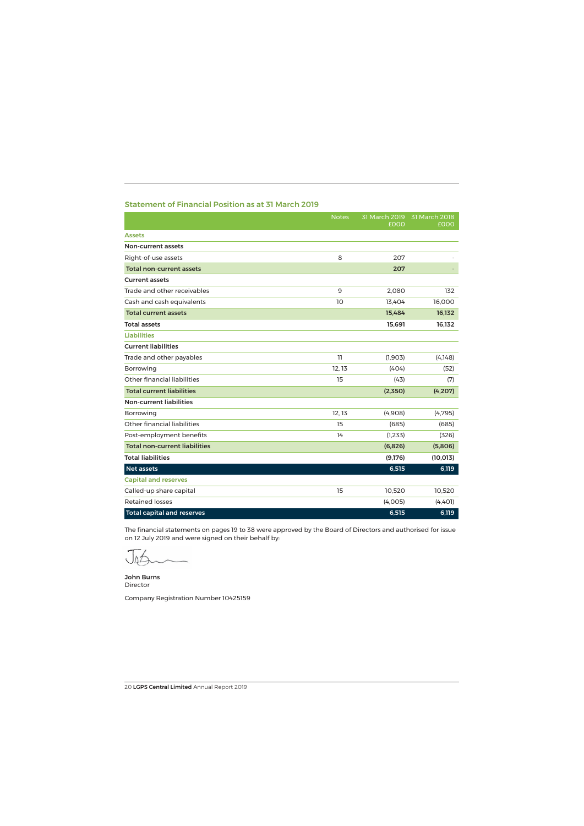# Statement of Financial Position as at 31 March 2019

|                                      | <b>Notes</b> | 31 March 2019<br>£000 | 31 March 2018<br>£000 |
|--------------------------------------|--------------|-----------------------|-----------------------|
| <b>Assets</b>                        |              |                       |                       |
| Non-current assets                   |              |                       |                       |
| Right-of-use assets                  | 8            | 207                   |                       |
| <b>Total non-current assets</b>      |              | 207                   |                       |
| <b>Current assets</b>                |              |                       |                       |
| Trade and other receivables          | 9            | 2,080                 | 132                   |
| Cash and cash equivalents            | 10           | 13,404                | 16,000                |
| <b>Total current assets</b>          |              | 15,484                | 16,132                |
| <b>Total assets</b>                  |              | 15,691                | 16,132                |
| <b>Liabilities</b>                   |              |                       |                       |
| <b>Current liabilities</b>           |              |                       |                       |
| Trade and other payables             | 11           | (1,903)               | (4,148)               |
| Borrowing                            | 12, 13       | (404)                 | (52)                  |
| Other financial liabilities          | 15           | (43)                  | (7)                   |
| <b>Total current liabilities</b>     |              | (2,350)               | (4, 207)              |
| <b>Non-current liabilities</b>       |              |                       |                       |
| Borrowing                            | 12, 13       | (4,908)               | (4,795)               |
| Other financial liabilities          | 15           | (685)                 | (685)                 |
| Post-employment benefits             | 14           | (1,233)               | (326)                 |
| <b>Total non-current liabilities</b> |              | (6,826)               | (5,806)               |
| <b>Total liabilities</b>             |              | (9,176)               | (10, 013)             |
| <b>Net assets</b>                    |              | 6,515                 | 6,119                 |
| <b>Capital and reserves</b>          |              |                       |                       |
| Called-up share capital              | 15           | 10,520                | 10,520                |
| <b>Retained losses</b>               |              | (4,005)               | (4,401)               |
| <b>Total capital and reserves</b>    |              | 6,515                 | 6,119                 |

The financial statements on pages 19 to 38 were approved by the Board of Directors and authorised for issue on 12 July 2019 and were signed on their behalf by:

John Burns Director

Company Registration Number 10425159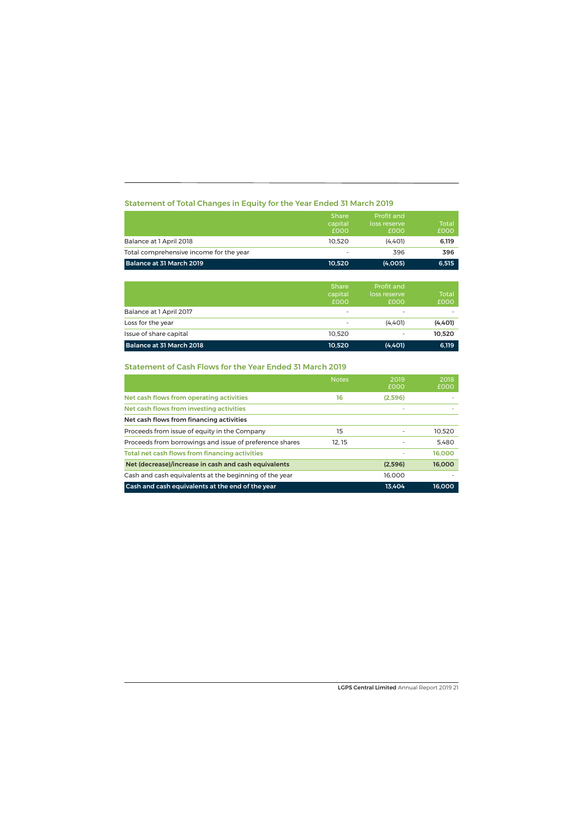# Statement of Total Changes in Equity for the Year Ended 31 March 2019

|                                         | <b>Share</b><br>capital<br>£000 | Profit and<br>loss reserve<br>£000 | Total<br>£000 |
|-----------------------------------------|---------------------------------|------------------------------------|---------------|
| Balance at 1 April 2018                 | 10.520                          | (4.401)                            | 6,119         |
| Total comprehensive income for the year |                                 | 396                                | 396           |
| Balance at 31 March 2019                | 10,520                          | (4,005)                            | 6,515         |

|                          | <b>Share</b><br>capital<br>£000 | Profit and<br>loss reserve<br>£000 | <b>Total</b><br>£000 |
|--------------------------|---------------------------------|------------------------------------|----------------------|
| Balance at 1 April 2017  |                                 | $\overline{\phantom{a}}$           |                      |
| Loss for the year        |                                 | (4,401)                            | (4,401)              |
| Issue of share capital   | 10.520                          | $\overline{\phantom{a}}$           | 10.520               |
| Balance at 31 March 2018 | 10,520                          | (4,401)                            | 6,119                |

# Statement of Cash Flows for the Year Ended 31 March 2019

|                                                         | Notes | 2019<br>£000 | 2018<br>£000 |
|---------------------------------------------------------|-------|--------------|--------------|
| Net cash flows from operating activities                | 16    | (2,596)      |              |
| Net cash flows from investing activities                |       | ۰            |              |
| Net cash flows from financing activities                |       |              |              |
| Proceeds from issue of equity in the Company            | 15    |              | 10.520       |
| Proceeds from borrowings and issue of preference shares | 12.15 |              | 5.480        |
| <b>Total net cash flows from financing activities</b>   |       |              | 16,000       |
| Net (decrease)/increase in cash and cash equivalents    |       | (2,596)      | 16,000       |
| Cash and cash equivalents at the beginning of the year  |       | 16.000       |              |
| Cash and cash equivalents at the end of the year        |       | 13.404       | 16.000       |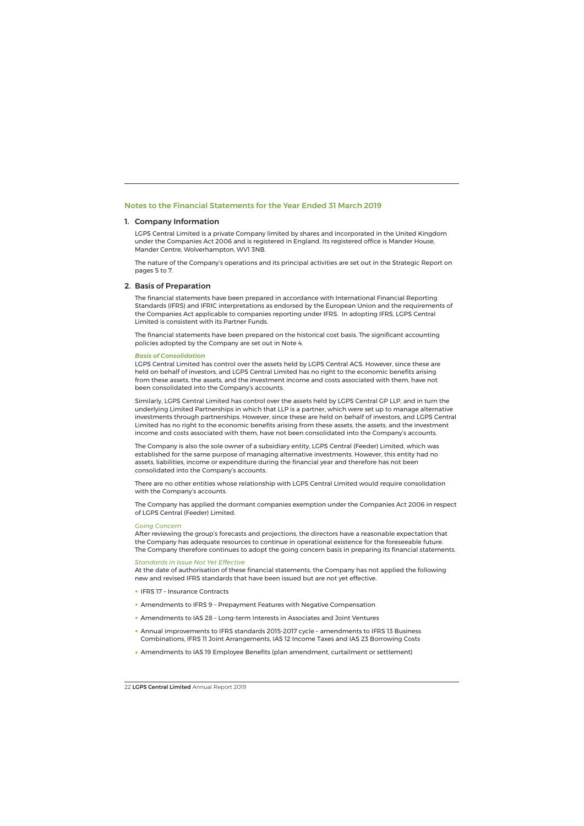## Notes to the Financial Statements for the Year Ended 31 March 2019

### 1. Company Information

 LGPS Central Limited is a private Company limited by shares and incorporated in the United Kingdom under the Companies Act 2006 and is registered in England. Its registered office is Mander House, Mander Centre, Wolverhampton, WV1 3NB.

 The nature of the Company's operations and its principal activities are set out in the Strategic Report on pages 5 to 7.

### 2. Basis of Preparation

 The financial statements have been prepared in accordance with International Financial Reporting Standards (IFRS) and IFRIC interpretations as endorsed by the European Union and the requirements of the Companies Act applicable to companies reporting under IFRS. In adopting IFRS, LGPS Central Limited is consistent with its Partner Funds.

 The financial statements have been prepared on the historical cost basis. The significant accounting policies adopted by the Company are set out in Note 4.

### *Basis of Consolidation*

 LGPS Central Limited has control over the assets held by LGPS Central ACS. However, since these are held on behalf of investors, and LGPS Central Limited has no right to the economic benefits arising from these assets, the assets, and the investment income and costs associated with them, have not been consolidated into the Company's accounts.

 Similarly, LGPS Central Limited has control over the assets held by LGPS Central GP LLP, and in turn the underlying Limited Partnerships in which that LLP is a partner, which were set up to manage alternative investments through partnerships. However, since these are held on behalf of investors, and LGPS Central Limited has no right to the economic benefits arising from these assets, the assets, and the investment income and costs associated with them, have not been consolidated into the Company's accounts.

 The Company is also the sole owner of a subsidiary entity, LGPS Central (Feeder) Limited, which was established for the same purpose of managing alternative investments. However, this entity had no assets, liabilities, income or expenditure during the financial year and therefore has not been consolidated into the Company's accounts.

 There are no other entities whose relationship with LGPS Central Limited would require consolidation with the Company's accounts.

 The Company has applied the dormant companies exemption under the Companies Act 2006 in respect of LGPS Central (Feeder) Limited.

### *Going Concern*

 After reviewing the group's forecasts and projections, the directors have a reasonable expectation that the Company has adequate resources to continue in operational existence for the foreseeable future. The Company therefore continues to adopt the going concern basis in preparing its financial statements.

### *Standards in Issue Not Yet Effective*

 At the date of authorisation of these financial statements, the Company has not applied the following new and revised IFRS standards that have been issued but are not yet effective.

- IFRS 17 Insurance Contracts
- Amendments to IFRS 9 Prepayment Features with Negative Compensation
- Amendments to IAS 28 Long-term Interests in Associates and Joint Ventures
- Annual improvements to IFRS standards 2015-2017 cycle amendments to IFRS 13 Business Combinations, IFRS 11 Joint Arrangements, IAS 12 Income Taxes and IAS 23 Borrowing Costs
- Amendments to IAS 19 Employee Benefits (plan amendment, curtailment or settlement)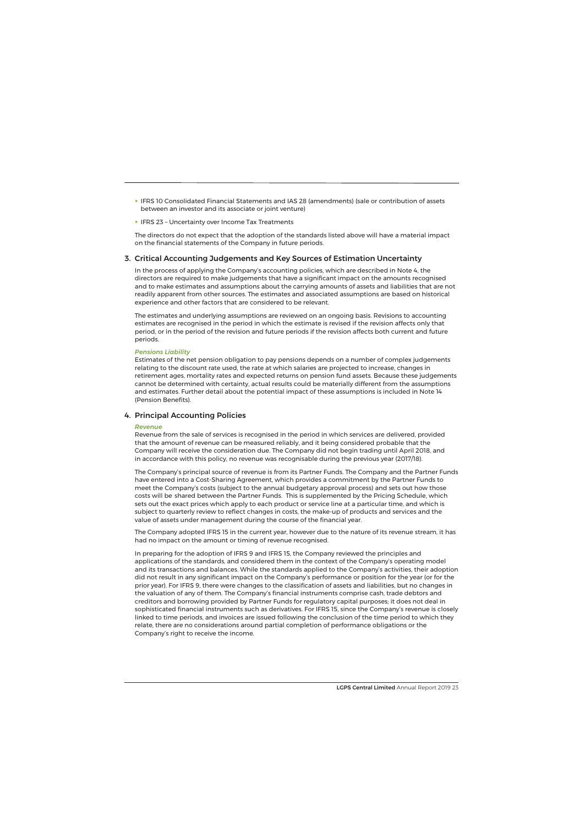- IFRS 10 Consolidated Financial Statements and IAS 28 (amendments) (sale or contribution of assets between an investor and its associate or joint venture)
- IFRS 23 Uncertainty over Income Tax Treatments

 The directors do not expect that the adoption of the standards listed above will have a material impact on the financial statements of the Company in future periods.

## 3. Critical Accounting Judgements and Key Sources of Estimation Uncertainty

 In the process of applying the Company's accounting policies, which are described in Note 4, the directors are required to make judgements that have a significant impact on the amounts recognised and to make estimates and assumptions about the carrying amounts of assets and liabilities that are not readily apparent from other sources. The estimates and associated assumptions are based on historical experience and other factors that are considered to be relevant.

 The estimates and underlying assumptions are reviewed on an ongoing basis. Revisions to accounting estimates are recognised in the period in which the estimate is revised if the revision affects only that period, or in the period of the revision and future periods if the revision affects both current and future periods.

### *Pensions Liability*

 Estimates of the net pension obligation to pay pensions depends on a number of complex judgements relating to the discount rate used, the rate at which salaries are projected to increase, changes in retirement ages, mortality rates and expected returns on pension fund assets. Because these judgements cannot be determined with certainty, actual results could be materially different from the assumptions and estimates. Further detail about the potential impact of these assumptions is included in Note 14 (Pension Benefits).

### 4. Principal Accounting Policies

### *Revenue*

 Revenue from the sale of services is recognised in the period in which services are delivered, provided that the amount of revenue can be measured reliably, and it being considered probable that the Company will receive the consideration due. The Company did not begin trading until April 2018, and in accordance with this policy, no revenue was recognisable during the previous year (2017/18).

 The Company's principal source of revenue is from its Partner Funds. The Company and the Partner Funds have entered into a Cost-Sharing Agreement, which provides a commitment by the Partner Funds to meet the Company's costs (subject to the annual budgetary approval process) and sets out how those costs will be shared between the Partner Funds. This is supplemented by the Pricing Schedule, which sets out the exact prices which apply to each product or service line at a particular time, and which is subject to quarterly review to reflect changes in costs, the make-up of products and services and the value of assets under management during the course of the financial year.

 The Company adopted IFRS 15 in the current year, however due to the nature of its revenue stream, it has had no impact on the amount or timing of revenue recognised.

 In preparing for the adoption of IFRS 9 and IFRS 15, the Company reviewed the principles and applications of the standards, and considered them in the context of the Company's operating model and its transactions and balances. While the standards applied to the Company's activities, their adoption did not result in any significant impact on the Company's performance or position for the year (or for the prior year). For IFRS 9, there were changes to the classification of assets and liabilities, but no changes in the valuation of any of them. The Company's financial instruments comprise cash, trade debtors and creditors and borrowing provided by Partner Funds for regulatory capital purposes; it does not deal in sophisticated financial instruments such as derivatives. For IFRS 15, since the Company's revenue is closely linked to time periods, and invoices are issued following the conclusion of the time period to which they relate, there are no considerations around partial completion of performance obligations or the Company's right to receive the income.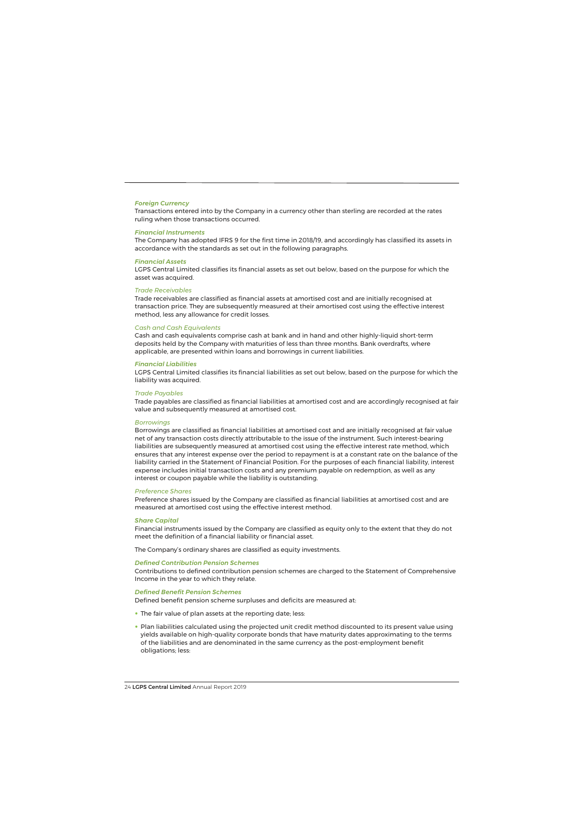### *Foreign Currency*

 Transactions entered into by the Company in a currency other than sterling are recorded at the rates ruling when those transactions occurred.

### *Financial Instruments*

 The Company has adopted IFRS 9 for the first time in 2018/19, and accordingly has classified its assets in accordance with the standards as set out in the following paragraphs.

#### *Financial Assets*

 LGPS Central Limited classifies its financial assets as set out below, based on the purpose for which the asset was acquired.

#### *Trade Receivables*

 Trade receivables are classified as financial assets at amortised cost and are initially recognised at transaction price. They are subsequently measured at their amortised cost using the effective interest method, less any allowance for credit losses.

#### *Cash and Cash Equivalents*

 Cash and cash equivalents comprise cash at bank and in hand and other highly-liquid short-term deposits held by the Company with maturities of less than three months. Bank overdrafts, where applicable, are presented within loans and borrowings in current liabilities.

### *Financial Liabilities*

 LGPS Central Limited classifies its financial liabilities as set out below, based on the purpose for which the liability was acquired.

### *Trade Payables*

 Trade payables are classified as financial liabilities at amortised cost and are accordingly recognised at fair value and subsequently measured at amortised cost.

#### *Borrowings*

 Borrowings are classified as financial liabilities at amortised cost and are initially recognised at fair value net of any transaction costs directly attributable to the issue of the instrument. Such interest-bearing liabilities are subsequently measured at amortised cost using the effective interest rate method, which ensures that any interest expense over the period to repayment is at a constant rate on the balance of the liability carried in the Statement of Financial Position. For the purposes of each financial liability, interest expense includes initial transaction costs and any premium payable on redemption, as well as any interest or coupon payable while the liability is outstanding.

#### *Preference Shares*

 Preference shares issued by the Company are classified as financial liabilities at amortised cost and are measured at amortised cost using the effective interest method.

#### *Share Capital*

 Financial instruments issued by the Company are classified as equity only to the extent that they do not meet the definition of a financial liability or financial asset.

The Company's ordinary shares are classified as equity investments.

### *Defined Contribution Pension Schemes*

 Contributions to defined contribution pension schemes are charged to the Statement of Comprehensive Income in the year to which they relate.

### *Defined Benefit Pension Schemes*

Defined benefit pension scheme surpluses and deficits are measured at:

- The fair value of plan assets at the reporting date; less:
- Plan liabilities calculated using the projected unit credit method discounted to its present value using yields available on high-quality corporate bonds that have maturity dates approximating to the terms of the liabilities and are denominated in the same currency as the post-employment benefit obligations; less: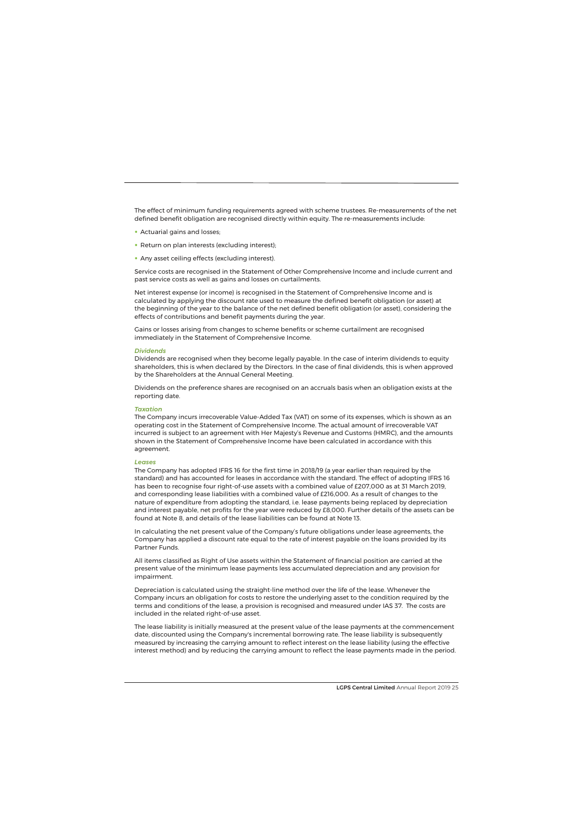The effect of minimum funding requirements agreed with scheme trustees. Re-measurements of the net defined benefit obligation are recognised directly within equity. The re-measurements include:

- Actuarial gains and losses;
- Return on plan interests (excluding interest);
- Any asset ceiling effects (excluding interest).

 Service costs are recognised in the Statement of Other Comprehensive Income and include current and past service costs as well as gains and losses on curtailments.

 Net interest expense (or income) is recognised in the Statement of Comprehensive Income and is calculated by applying the discount rate used to measure the defined benefit obligation (or asset) at the beginning of the year to the balance of the net defined benefit obligation (or asset), considering the effects of contributions and benefit payments during the year.

 Gains or losses arising from changes to scheme benefits or scheme curtailment are recognised immediately in the Statement of Comprehensive Income.

### *Dividends*

 Dividends are recognised when they become legally payable. In the case of interim dividends to equity shareholders, this is when declared by the Directors. In the case of final dividends, this is when approved by the Shareholders at the Annual General Meeting.

 Dividends on the preference shares are recognised on an accruals basis when an obligation exists at the reporting date.

#### *Taxation*

 The Company incurs irrecoverable Value-Added Tax (VAT) on some of its expenses, which is shown as an operating cost in the Statement of Comprehensive Income. The actual amount of irrecoverable VAT incurred is subject to an agreement with Her Majesty's Revenue and Customs (HMRC), and the amounts shown in the Statement of Comprehensive Income have been calculated in accordance with this agreement.

#### *Leases*

 The Company has adopted IFRS 16 for the first time in 2018/19 (a year earlier than required by the standard) and has accounted for leases in accordance with the standard. The effect of adopting IFRS 16 has been to recognise four right-of-use assets with a combined value of £207,000 as at 31 March 2019, and corresponding lease liabilities with a combined value of £216,000. As a result of changes to the nature of expenditure from adopting the standard, i.e. lease payments being replaced by depreciation and interest payable, net profits for the year were reduced by £8,000. Further details of the assets can be found at Note 8, and details of the lease liabilities can be found at Note 13.

 In calculating the net present value of the Company's future obligations under lease agreements, the Company has applied a discount rate equal to the rate of interest payable on the loans provided by its Partner Funds.

 All items classified as Right of Use assets within the Statement of financial position are carried at the present value of the minimum lease payments less accumulated depreciation and any provision for impairment.

 Depreciation is calculated using the straight-line method over the life of the lease. Whenever the Company incurs an obligation for costs to restore the underlying asset to the condition required by the terms and conditions of the lease, a provision is recognised and measured under IAS 37. The costs are included in the related right-of-use asset.

 The lease liability is initially measured at the present value of the lease payments at the commencement date, discounted using the Company's incremental borrowing rate. The lease liability is subsequently measured by increasing the carrying amount to reflect interest on the lease liability (using the effective interest method) and by reducing the carrying amount to reflect the lease payments made in the period.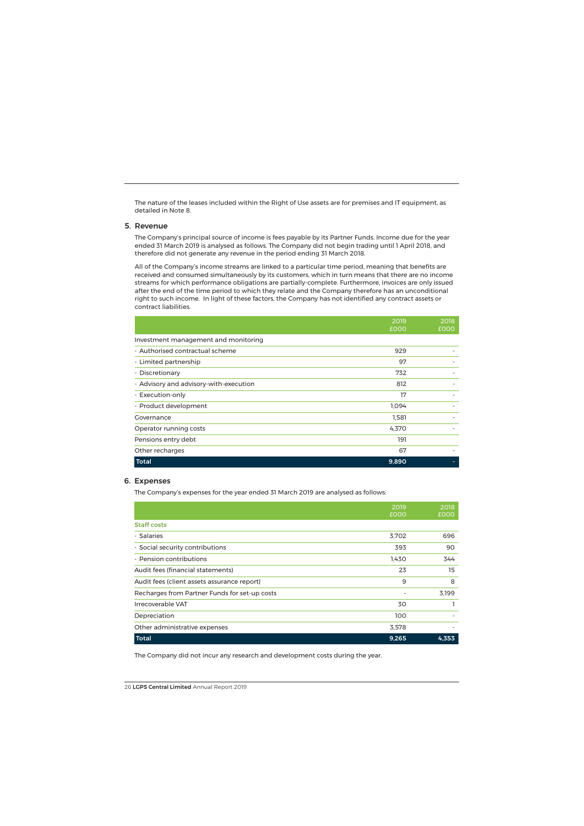The nature of the leases included within the Right of Use assets are for premises and IT equipment, as detailed in Note 8.

### 5. Revenue

 The Company's principal source of income is fees payable by its Partner Funds. Income due for the year ended 31 March 2019 is analysed as follows. The Company did not begin trading until 1 April 2018, and therefore did not generate any revenue in the period ending 31 March 2018.

 All of the Company's income streams are linked to a particular time period, meaning that benefits are received and consumed simultaneously by its customers, which in turn means that there are no income streams for which performance obligations are partially-complete. Furthermore, invoices are only issued after the end of the time period to which they relate and the Company therefore has an unconditional right to such income. In light of these factors, the Company has not identified any contract assets or contract liabilities.

|                                        | 2019<br>£000 | 2018<br>£000 |
|----------------------------------------|--------------|--------------|
| Investment management and monitoring   |              |              |
| - Authorised contractual scheme        | 929          |              |
| - Limited partnership                  | 97           |              |
| - Discretionary                        | 732          |              |
| - Advisory and advisory-with-execution | 812          |              |
| - Execution-only                       | 17           |              |
| - Product development                  | 1.094        |              |
| Governance                             | 1,581        |              |
| Operator running costs                 | 4,370        |              |
| Pensions entry debt                    | 191          |              |
| Other recharges                        | 67           |              |
| <b>Total</b>                           | 9,890        | -            |

## 6. Expenses

The Company's expenses for the year ended 31 March 2019 are analysed as follows:

|                                               | 2019<br>£000 | 2018<br>£000 |
|-----------------------------------------------|--------------|--------------|
| <b>Staff costs</b>                            |              |              |
| - Salaries                                    | 3,702        | 696          |
| - Social security contributions               | 393          | 90           |
| - Pension contributions                       | 1,430        | 344          |
| Audit fees (financial statements)             | 23           | 15           |
| Audit fees (client assets assurance report)   | 9            | 8            |
| Recharges from Partner Funds for set-up costs |              | 3,199        |
| Irrecoverable VAT                             | 30           |              |
| Depreciation                                  | 100          |              |
| Other administrative expenses                 | 3,578        |              |
| <b>Total</b>                                  | 9,265        | 4.353        |

The Company did not incur any research and development costs during the year.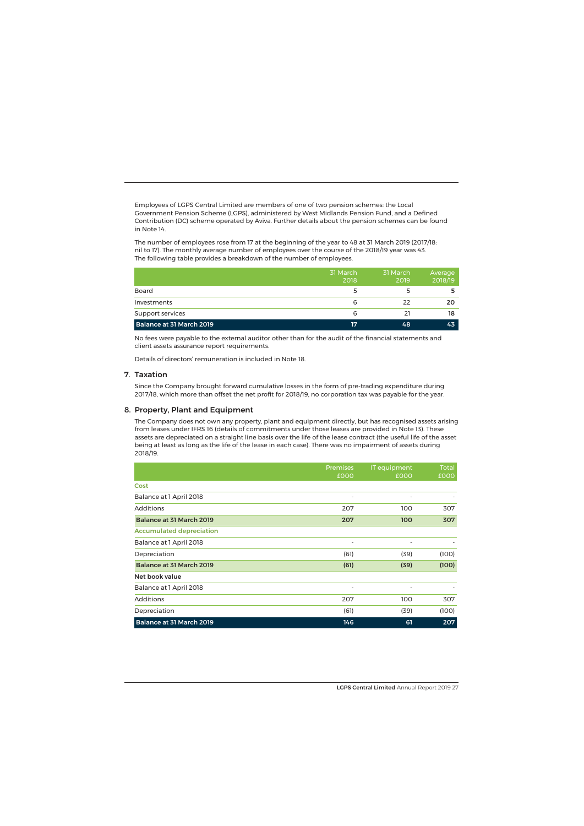Employees of LGPS Central Limited are members of one of two pension schemes: the Local Government Pension Scheme (LGPS), administered by West Midlands Pension Fund, and a Defined Contribution (DC) scheme operated by Aviva. Further details about the pension schemes can be found in Note 14.

 The number of employees rose from 17 at the beginning of the year to 48 at 31 March 2019 (2017/18: nil to 17). The monthly average number of employees over the course of the 2018/19 year was 43. The following table provides a breakdown of the number of employees.

|                          | 31 March<br>2018 | 31 March<br>2019 | Average<br>2018/19 |
|--------------------------|------------------|------------------|--------------------|
| Board                    |                  |                  | 5                  |
| Investments              | 6                | 22               | 20                 |
| Support services         | 6                | 21               | 18                 |
| Balance at 31 March 2019 | 17               | 48               | 43                 |

 No fees were payable to the external auditor other than for the audit of the financial statements and client assets assurance report requirements.

Details of directors' remuneration is included in Note 18.

# 7. Taxation

 Since the Company brought forward cumulative losses in the form of pre-trading expenditure during 2017/18, which more than offset the net profit for 2018/19, no corporation tax was payable for the year.

## 8. Property, Plant and Equipment

 The Company does not own any property, plant and equipment directly, but has recognised assets arising from leases under IFRS 16 (details of commitments under those leases are provided in Note 13). These assets are depreciated on a straight line basis over the life of the lease contract (the useful life of the asset being at least as long as the life of the lease in each case). There was no impairment of assets during 2018/19.

|                                 | <b>Premises</b>              | IT equipment | <b>Total</b> |
|---------------------------------|------------------------------|--------------|--------------|
|                                 | £000                         | £000         | £000         |
| Cost                            |                              |              |              |
| Balance at 1 April 2018         | $\qquad \qquad \blacksquare$ |              |              |
| Additions                       | 207                          | 100          | 307          |
| Balance at 31 March 2019        | 207                          | 100          | 307          |
| <b>Accumulated depreciation</b> |                              |              |              |
| Balance at 1 April 2018         | ٠                            |              |              |
| Depreciation                    | (61)                         | (39)         | (100)        |
| <b>Balance at 31 March 2019</b> | (61)                         | (39)         | (100)        |
| Net book value                  |                              |              |              |
| Balance at 1 April 2018         | ٠                            |              |              |
| Additions                       | 207                          | 100          | 307          |
| Depreciation                    | (61)                         | (39)         | (100)        |
| Balance at 31 March 2019        | 146                          | 61           | 207          |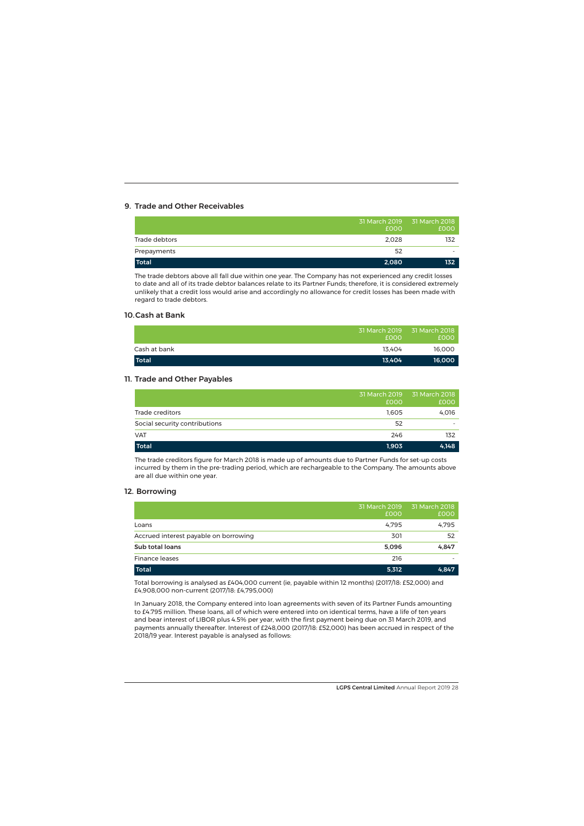# 9. Trade and Other Receivables

|               | £000  | £000                     |
|---------------|-------|--------------------------|
| Trade debtors | 2.028 | 132                      |
| Prepayments   | 52    | $\overline{\phantom{0}}$ |
| <b>Total</b>  | 2,080 | 132                      |

 The trade debtors above all fall due within one year. The Company has not experienced any credit losses to date and all of its trade debtor balances relate to its Partner Funds; therefore, it is considered extremely unlikely that a credit loss would arise and accordingly no allowance for credit losses has been made with regard to trade debtors.

## 10.Cash at Bank

|              | <b>FOOO</b> | £000   |
|--------------|-------------|--------|
| Cash at bank | 13.404      | 16.000 |
| Total        | 13.404      | 16,000 |

# 11. Trade and Other Payables

| <b>Total</b>                  | 1,903 | 4,148 |
|-------------------------------|-------|-------|
| <b>VAT</b>                    | 246   | 132   |
| Social security contributions | 52    |       |
| Trade creditors               | 1.605 | 4,016 |
|                               | £000  | £000  |

 The trade creditors figure for March 2018 is made up of amounts due to Partner Funds for set-up costs incurred by them in the pre-trading period, which are rechargeable to the Company. The amounts above are all due within one year.

# 12. Borrowing

|                                       | 31 March 2019<br>£000 | 31 March 2018<br>£000 |
|---------------------------------------|-----------------------|-----------------------|
| Loans                                 | 4,795                 | 4,795                 |
| Accrued interest payable on borrowing | 301                   | 52                    |
| Sub total loans                       | 5.096                 | 4,847                 |
| <b>Finance leases</b>                 | 216                   |                       |
| <b>Total</b>                          | 5,312                 | 4,847                 |

 Total borrowing is analysed as £404,000 current (ie, payable within 12 months) (2017/18: £52,000) and £4,908,000 non-current (2017/18: £4,795,000)

 In January 2018, the Company entered into loan agreements with seven of its Partner Funds amounting to £4.795 million. These loans, all of which were entered into on identical terms, have a life of ten years and bear interest of LIBOR plus 4.5% per year, with the first payment being due on 31 March 2019, and payments annually thereafter. Interest of £248,000 (2017/18: £52,000) has been accrued in respect of the 2018/19 year. Interest payable is analysed as follows: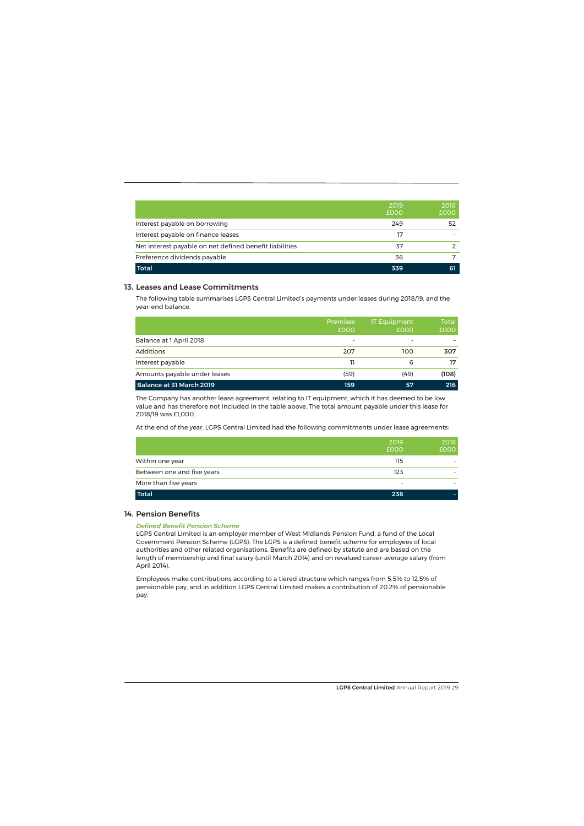|                                                         | 2019<br>£000 | 2018<br>£000 |
|---------------------------------------------------------|--------------|--------------|
| Interest payable on borrowing                           | 249          | 52           |
| Interest payable on finance leases                      | 17           |              |
| Net interest payable on net defined benefit liabilities | 37           |              |
| Preference dividends payable                            | 36           |              |
| <b>Total</b>                                            | 339          | 61           |

## 13. Leases and Lease Commitments

 The following table summarises LGPS Central Limited's payments under leases during 2018/19, and the year-end balance.

|                              | <b>Premises</b><br>£000  | IT Equipment<br>£000 | <b>Total</b><br>£000 |
|------------------------------|--------------------------|----------------------|----------------------|
| Balance at 1 April 2018      | $\overline{\phantom{a}}$ |                      |                      |
| Additions                    | 207                      | 100                  | 307                  |
| Interest payable             | 11                       | 6                    | 17                   |
| Amounts payable under leases | (59)                     | (49)                 | (108)                |
| Balance at 31 March 2019     | 159                      | 57                   | 216                  |

 The Company has another lease agreement, relating to IT equipment, which it has deemed to be low value and has therefore not included in the table above. The total amount payable under this lease for 2018/19 was £1,000.

At the end of the year, LGPS Central Limited had the following commitments under lease agreements:

|                            | 2019<br>£000 | 2018<br>£000 |
|----------------------------|--------------|--------------|
| Within one year            | 115          |              |
| Between one and five years | 123          |              |
| More than five years       |              |              |
| <b>Total</b>               | 238          |              |

## 14. Pension Benefits

## *Defined Benefit Pension Scheme*

 LGPS Central Limited is an employer member of West Midlands Pension Fund, a fund of the Local Government Pension Scheme (LGPS). The LGPS is a defined benefit scheme for employees of local authorities and other related organisations. Benefits are defined by statute and are based on the length of membership and final salary (until March 2014) and on revalued career-average salary (from April 2014).

 Employees make contributions according to a tiered structure which ranges from 5.5% to 12.5% of pensionable pay, and in addition LGPS Central Limited makes a contribution of 20.2% of pensionable pay.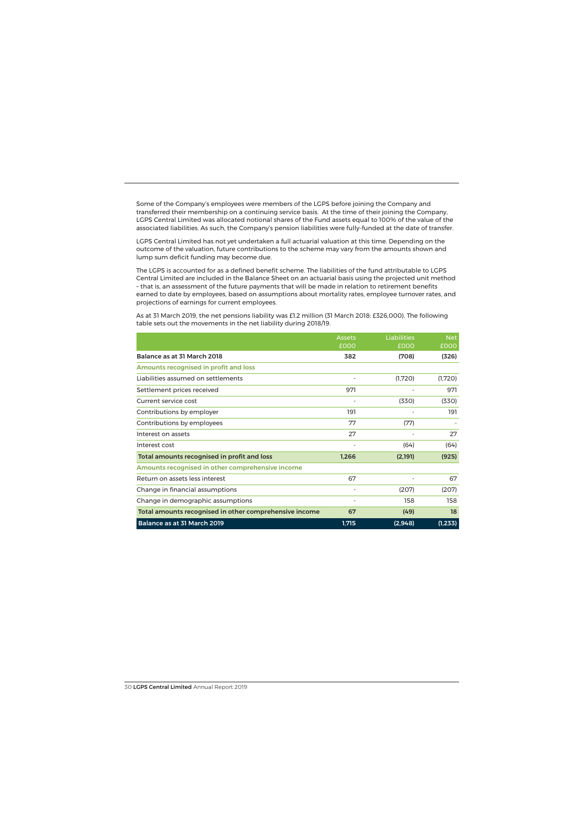Some of the Company's employees were members of the LGPS before joining the Company and transferred their membership on a continuing service basis. At the time of their joining the Company, LGPS Central Limited was allocated notional shares of the Fund assets equal to 100% of the value of the associated liabilities. As such, the Company's pension liabilities were fully-funded at the date of transfer.

 LGPS Central Limited has not yet undertaken a full actuarial valuation at this time. Depending on the outcome of the valuation, future contributions to the scheme may vary from the amounts shown and lump sum deficit funding may become due.

 The LGPS is accounted for as a defined benefit scheme. The liabilities of the fund attributable to LGPS Central Limited are included in the Balance Sheet on an actuarial basis using the projected unit method – that is, an assessment of the future payments that will be made in relation to retirement benefits earned to date by employees, based on assumptions about mortality rates, employee turnover rates, and projections of earnings for current employees.

 As at 31 March 2019, the net pensions liability was £1.2 million (31 March 2018: £326,000). The following table sets out the movements in the net liability during 2018/19.

|                                                        | <b>Assets</b>  | Liabilities | <b>Net</b> |
|--------------------------------------------------------|----------------|-------------|------------|
|                                                        | £000           | £000        | £000       |
| Balance as at 31 March 2018                            | 382            | (708)       | (326)      |
| <b>Amounts recognised in profit and loss</b>           |                |             |            |
| Liabilities assumed on settlements                     |                | (1,720)     | (1,720)    |
| Settlement prices received                             | 971            |             | 971        |
| Current service cost                                   | ٠              | (330)       | (330)      |
| Contributions by employer                              | 191            |             | 191        |
| Contributions by employees                             | 77             | (77)        |            |
| Interest on assets                                     | 27             |             | 27         |
| Interest cost                                          | $\overline{a}$ | (64)        | (64)       |
| Total amounts recognised in profit and loss            | 1,266          | (2,191)     | (925)      |
| Amounts recognised in other comprehensive income       |                |             |            |
| Return on assets less interest                         | 67             |             | 67         |
| Change in financial assumptions                        | ۰              | (207)       | (207)      |
| Change in demographic assumptions                      | L,             | 158         | 158        |
| Total amounts recognised in other comprehensive income | 67             | (49)        | 18         |
| Balance as at 31 March 2019                            | 1,715          | (2,948)     | (1,233)    |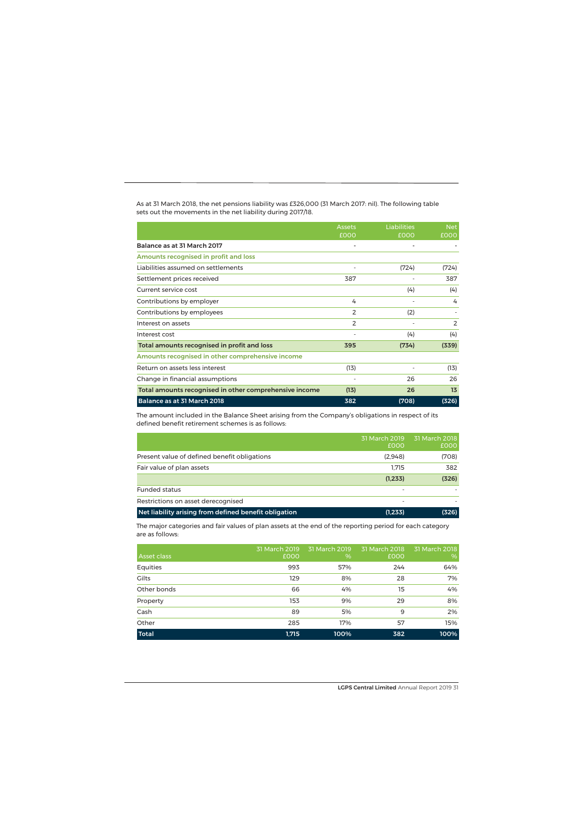As at 31 March 2018, the net pensions liability was £326,000 (31 March 2017: nil). The following table sets out the movements in the net liability during 2017/18.

|                                                        | <b>Assets</b>  | Liabilities | <b>Net</b> |
|--------------------------------------------------------|----------------|-------------|------------|
|                                                        | £000           | £000        | £000       |
| Balance as at 31 March 2017                            | ٠              |             |            |
| Amounts recognised in profit and loss                  |                |             |            |
| Liabilities assumed on settlements                     | ٠              | (724)       | (724)      |
| Settlement prices received                             | 387            |             | 387        |
| Current service cost                                   |                | (4)         | (4)        |
| Contributions by employer                              | 4              |             | 4          |
| Contributions by employees                             | 2              | (2)         |            |
| Interest on assets                                     | $\overline{2}$ |             | 2          |
| Interest cost                                          |                | (4)         | (4)        |
| Total amounts recognised in profit and loss            | 395            | (734)       | (339)      |
| Amounts recognised in other comprehensive income       |                |             |            |
| Return on assets less interest                         | (13)           |             | (13)       |
| Change in financial assumptions                        |                | 26          | 26         |
| Total amounts recognised in other comprehensive income | (13)           | 26          | 13         |
| Balance as at 31 March 2018                            | 382            | (708)       | (326)      |

 The amount included in the Balance Sheet arising from the Company's obligations in respect of its defined benefit retirement schemes is as follows:

|                                                       | 31 March 2019<br>£000 | 31 March 2018<br>£000 |
|-------------------------------------------------------|-----------------------|-----------------------|
| Present value of defined benefit obligations          | (2,948)               | (708)                 |
| Fair value of plan assets                             | 1.715                 | 382                   |
|                                                       | (1,233)               | (326)                 |
| <b>Funded status</b>                                  |                       |                       |
| Restrictions on asset derecognised                    |                       |                       |
| Net liability arising from defined benefit obligation | (1,233)               | (326)                 |

 The major categories and fair values of plan assets at the end of the reporting period for each category are as follows:

| <b>Asset class</b> | 31 March 2019<br>£000 | 31 March 2019<br>% | 31 March 2018<br>£000 | 31 March 2018<br>% |
|--------------------|-----------------------|--------------------|-----------------------|--------------------|
| <b>Equities</b>    | 993                   | 57%                | 244                   | 64%                |
| Gilts              | 129                   | 8%                 | 28                    | 7%                 |
| Other bonds        | 66                    | 4%                 | 15                    | 4%                 |
| Property           | 153                   | 9%                 | 29                    | 8%                 |
| Cash               | 89                    | 5%                 | 9                     | 2%                 |
| Other              | 285                   | 17%                | 57                    | 15%                |
| <b>Total</b>       | 1,715                 | 100%               | 382                   | 100%               |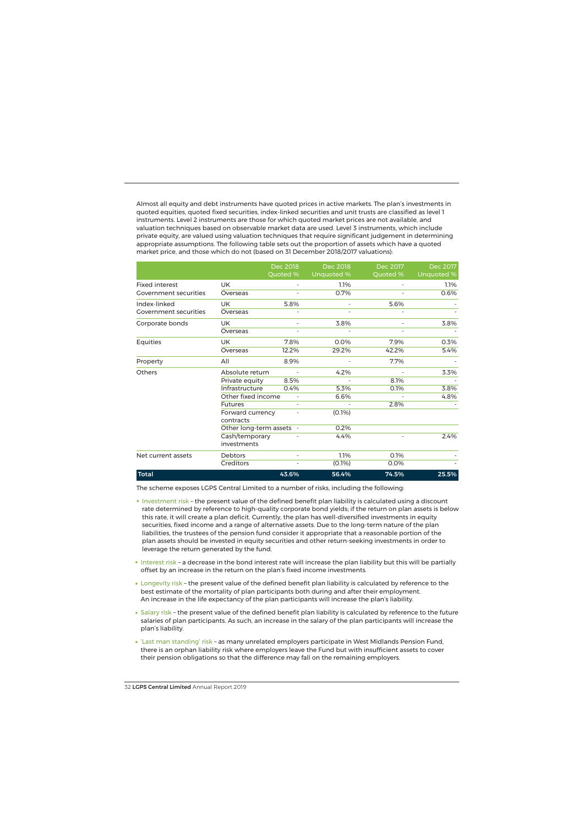Almost all equity and debt instruments have quoted prices in active markets. The plan's investments in quoted equities, quoted fixed securities, index-linked securities and unit trusts are classified as level 1 instruments. Level 2 instruments are those for which quoted market prices are not available, and valuation techniques based on observable market data are used. Level 3 instruments, which include private equity, are valued using valuation techniques that require significant judgement in determining appropriate assumptions. The following table sets out the proportion of assets which have a quoted market price, and those which do not (based on 31 December 2018/2017 valuations):

|                              |                          | Dec 2018<br>Quoted % | Dec 2018<br>Unquoted % | Dec 2017<br>Quoted % | Dec 2017<br><b>Unquoted %</b> |
|------------------------------|--------------------------|----------------------|------------------------|----------------------|-------------------------------|
| <b>Fixed interest</b>        | UK.                      |                      | 1.1%                   |                      | 1.1%                          |
| <b>Covernment securities</b> | Overseas                 |                      | 0.7%                   |                      | 0.6%                          |
| Index-linked                 | UK.                      | 5.8%                 |                        | 5.6%                 |                               |
| <b>Covernment securities</b> | Overseas                 |                      |                        |                      |                               |
| Corporate bonds              | UK.                      |                      | 3.8%                   |                      | 3.8%                          |
|                              | Overseas                 |                      |                        |                      |                               |
| Equities                     | <b>UK</b>                | 7.8%                 | 0.0%                   | 7.9%                 | 0.3%                          |
|                              | Overseas                 | 12.2%                | 29.2%                  | 42.2%                | 5.4%                          |
| Property                     | All                      | 8.9%                 |                        | 7.7%                 |                               |
| Others                       | Absolute return          |                      | 4.2%                   |                      | 3.3%                          |
|                              | Private equity           | 8.5%                 |                        | 8.1%                 |                               |
|                              | Infrastructure           | 0.4%                 | 5.3%                   | 0.1%                 | 3.8%                          |
|                              | Other fixed income       |                      | 6.6%                   |                      | 4.8%                          |
|                              | <b>Futures</b>           |                      |                        | 2.8%                 |                               |
|                              | Forward currency         |                      | $(0.1\%)$              |                      |                               |
|                              | contracts                |                      |                        |                      |                               |
|                              | Other long-term assets - |                      | 0.2%                   |                      |                               |
|                              | Cash/temporary           |                      | 4.4%                   |                      | 2.4%                          |
|                              | investments              |                      |                        |                      |                               |
| Net current assets           | <b>Debtors</b>           |                      | 1.1%                   | 0.1%                 |                               |
|                              | Creditors                |                      | $(0.1\%)$              | 0.0%                 |                               |
| <b>Total</b>                 |                          | 43.6%                | 56.4%                  | 74.5%                | 25.5%                         |

The scheme exposes LGPS Central Limited to a number of risks, including the following:

- Investment risk the present value of the defined benefit plan liability is calculated using a discount rate determined by reference to high-quality corporate bond yields; if the return on plan assets is below this rate, it will create a plan deficit. Currently, the plan has well-diversified investments in equity securities, fixed income and a range of alternative assets. Due to the long-term nature of the plan liabilities, the trustees of the pension fund consider it appropriate that a reasonable portion of the plan assets should be invested in equity securities and other return-seeking investments in order to leverage the return generated by the fund.
- Interest risk a decrease in the bond interest rate will increase the plan liability but this will be partially offset by an increase in the return on the plan's fixed income investments.
- Longevity risk the present value of the defined benefit plan liability is calculated by reference to the best estimate of the mortality of plan participants both during and after their employment. An increase in the life expectancy of the plan participants will increase the plan's liability.
- Salary risk the present value of the defined benefit plan liability is calculated by reference to the future salaries of plan participants. As such, an increase in the salary of the plan participants will increase the plan's liability.
- 'Last man standing' risk as many unrelated employers participate in West Midlands Pension Fund, there is an orphan liability risk where employers leave the Fund but with insufficient assets to cover their pension obligations so that the difference may fall on the remaining employers.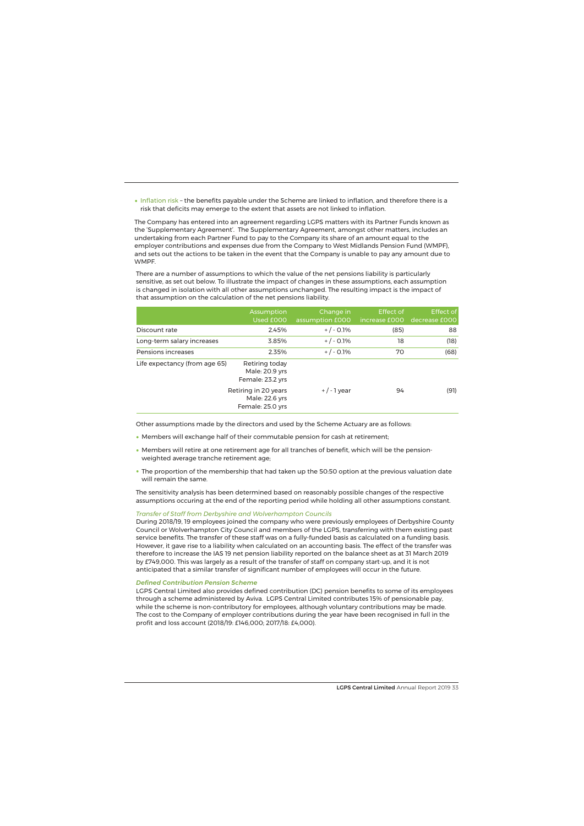• Inflation risk – the benefits payable under the Scheme are linked to inflation, and therefore there is a risk that deficits may emerge to the extent that assets are not linked to inflation.

 The Company has entered into an agreement regarding LGPS matters with its Partner Funds known as the 'Supplementary Agreement'. The Supplementary Agreement, amongst other matters, includes an undertaking from each Partner Fund to pay to the Company its share of an amount equal to the employer contributions and expenses due from the Company to West Midlands Pension Fund (WMPF), and sets out the actions to be taken in the event that the Company is unable to pay any amount due to WMPF.

 There are a number of assumptions to which the value of the net pensions liability is particularly sensitive, as set out below. To illustrate the impact of changes in these assumptions, each assumption is changed in isolation with all other assumptions unchanged. The resulting impact is the impact of that assumption on the calculation of the net pensions liability.

|                               | Assumption<br>Used £000                                    | Change in<br>assumption £000 | <b>Effect of</b><br>increase £000 | <b>Effect of</b><br>decrease £000 |
|-------------------------------|------------------------------------------------------------|------------------------------|-----------------------------------|-----------------------------------|
| Discount rate                 | 2.45%                                                      | $+/- 0.1%$                   | (85)                              | 88                                |
| Long-term salary increases    | 3.85%                                                      | $+/- 0.1%$                   | 18                                | (18)                              |
| Pensions increases            | 2.35%                                                      | $+/- 0.1%$                   | 70                                | (68)                              |
| Life expectancy (from age 65) | Retiring today<br>Male: 20.9 yrs<br>Female: 23.2 yrs       |                              |                                   |                                   |
|                               | Retiring in 20 years<br>Male: 22.6 yrs<br>Female: 25.0 yrs | $+$ / - 1 year               | 94                                | (91)                              |
|                               |                                                            |                              |                                   |                                   |

Other assumptions made by the directors and used by the Scheme Actuary are as follows:

- Members will exchange half of their commutable pension for cash at retirement;
- Members will retire at one retirement age for all tranches of benefit, which will be the pension weighted average tranche retirement age;
- The proportion of the membership that had taken up the 50:50 option at the previous valuation date will remain the same.

 The sensitivity analysis has been determined based on reasonably possible changes of the respective assumptions occuring at the end of the reporting period while holding all other assumptions constant.

## *Transfer of Staff from Derbyshire and Wolverhampton Councils*

 During 2018/19, 19 employees joined the company who were previously employees of Derbyshire County Council or Wolverhampton City Council and members of the LGPS, transferring with them existing past service benefits. The transfer of these staff was on a fully-funded basis as calculated on a funding basis. However, it gave rise to a liability when calculated on an accounting basis. The effect of the transfer was therefore to increase the IAS 19 net pension liability reported on the balance sheet as at 31 March 2019 by £749,000. This was largely as a result of the transfer of staff on company start-up, and it is not anticipated that a similar transfer of significant number of employees will occur in the future.

### *Defined Contribution Pension Scheme*

 LGPS Central Limited also provides defined contribution (DC) pension benefits to some of its employees through a scheme administered by Aviva. LGPS Central Limited contributes 15% of pensionable pay, while the scheme is non-contributory for employees, although voluntary contributions may be made. The cost to the Company of employer contributions during the year have been recognised in full in the profit and loss account (2018/19: £146,000; 2017/18: £4,000).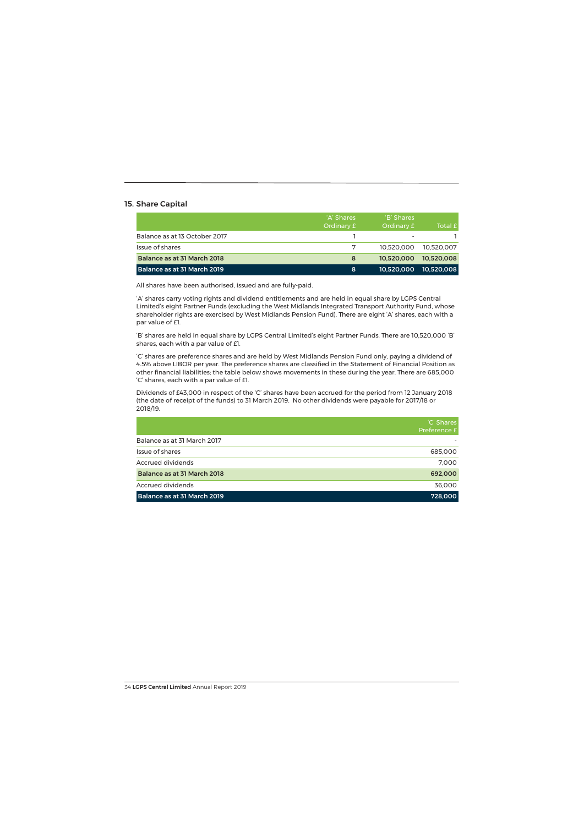## 15. Share Capital

|                               | 'A' Shares<br>Ordinary £ | 'B' Shares<br>Ordinary £ | Total £    |
|-------------------------------|--------------------------|--------------------------|------------|
| Balance as at 13 October 2017 |                          |                          |            |
| Issue of shares               | 7                        | 10.520.000               | 10.520.007 |
| Balance as at 31 March 2018   | 8                        | 10.520.000               | 10.520.008 |
| Balance as at 31 March 2019   | 8                        | 10.520.000               | 10.520.008 |

All shares have been authorised, issued and are fully-paid.

 'A' shares carry voting rights and dividend entitlements and are held in equal share by LGPS Central Limited's eight Partner Funds (excluding the West Midlands Integrated Transport Authority Fund, whose shareholder rights are exercised by West Midlands Pension Fund). There are eight 'A' shares, each with a par value of £1.

 'B' shares are held in equal share by LGPS Central Limited's eight Partner Funds. There are 10,520,000 'B' shares, each with a par value of £1.

 'C' shares are preference shares and are held by West Midlands Pension Fund only, paying a dividend of 4.5% above LIBOR per year. The preference shares are classified in the Statement of Financial Position as other financial liabilities; the table below shows movements in these during the year. There are 685,000 'C' shares, each with a par value of £1.

 Dividends of £43,000 in respect of the 'C' shares have been accrued for the period from 12 January 2018 (the date of receipt of the funds) to 31 March 2019. No other dividends were payable for 2017/18 or 2018/19.

|                             | 'C' Shares<br>Preference £ |
|-----------------------------|----------------------------|
| Balance as at 31 March 2017 |                            |
| Issue of shares             | 685,000                    |
| Accrued dividends           | 7,000                      |
| Balance as at 31 March 2018 | 692,000                    |
| Accrued dividends           | 36,000                     |
| Balance as at 31 March 2019 | 728,000                    |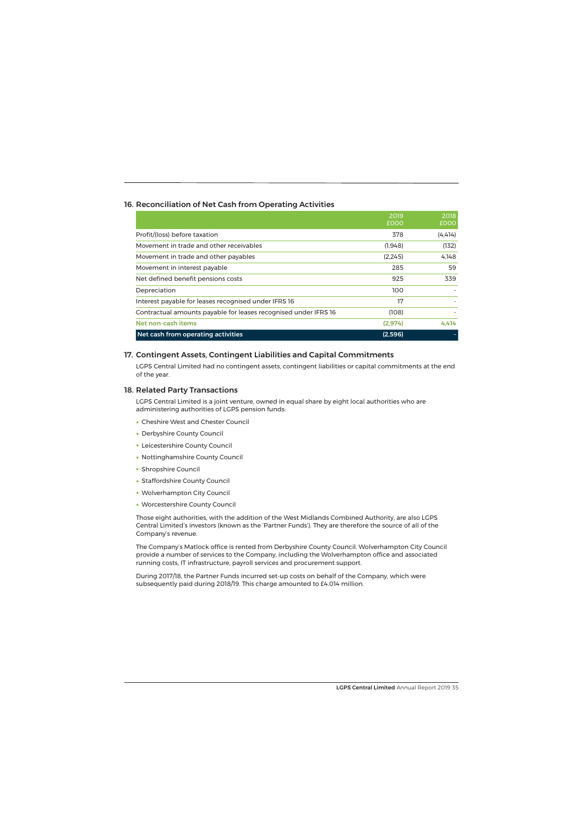# 16. Reconciliation of Net Cash from Operating Activities

| Net cash from operating activities                              | (2,596)      |              |
|-----------------------------------------------------------------|--------------|--------------|
| Net non-cash items                                              | (2.974)      | 4.414        |
| Contractual amounts payable for leases recognised under IFRS 16 | (108)        |              |
| Interest payable for leases recognised under IFRS 16            | 17           |              |
| Depreciation                                                    | 100          |              |
| Net defined benefit pensions costs                              | 925          | 339          |
| Movement in interest payable                                    | 285          | 59           |
| Movement in trade and other payables                            | (2,245)      | 4,148        |
| Movement in trade and other receivables                         | (1,948)      | (132)        |
| Profit/(loss) before taxation                                   | 378          | (4, 414)     |
|                                                                 | 2019<br>£000 | 2018<br>£000 |

## 17. Contingent Assets, Contingent Liabilities and Capital Commitments

 LGPS Central Limited had no contingent assets, contingent liabilities or capital commitments at the end of the year.

## 18. Related Party Transactions

 LGPS Central Limited is a joint venture, owned in equal share by eight local authorities who are administering authorities of LGPS pension funds:

- Cheshire West and Chester Council
- Derbyshire County Council
- Leicestershire County Council
- Nottinghamshire County Council
- Shropshire Council
- Staffordshire County Council
- Wolverhampton City Council
- Worcestershire County Council

 Those eight authorities, with the addition of the West Midlands Combined Authority, are also LGPS Central Limited's investors (known as the 'Partner Funds'). They are therefore the source of all of the Company's revenue.

 The Company's Matlock office is rented from Derbyshire County Council. Wolverhampton City Council provide a number of services to the Company, including the Wolverhampton office and associated running costs, IT infrastructure, payroll services and procurement support.

 During 2017/18, the Partner Funds incurred set-up costs on behalf of the Company, which were subsequently paid during 2018/19. This charge amounted to £4.014 million.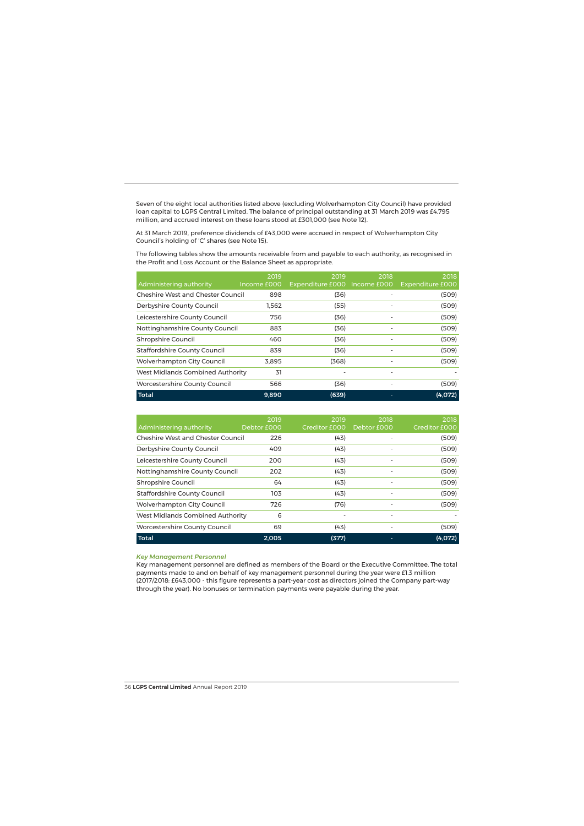Seven of the eight local authorities listed above (excluding Wolverhampton City Council) have provided loan capital to LGPS Central Limited. The balance of principal outstanding at 31 March 2019 was £4.795 million, and accrued interest on these loans stood at £301,000 (see Note 12).

 At 31 March 2019, preference dividends of £43,000 were accrued in respect of Wolverhampton City Council's holding of 'C' shares (see Note 15).

 The following tables show the amounts receivable from and payable to each authority, as recognised in the Profit and Loss Account or the Balance Sheet as appropriate.

| Administering authority                 | 2019<br>Income £000 | 2019<br>Expenditure £000 Income £000 | 2018 | 2018<br>Expenditure £000 |
|-----------------------------------------|---------------------|--------------------------------------|------|--------------------------|
| Cheshire West and Chester Council       | 898                 | (36)                                 |      | (509)                    |
| Derbyshire County Council               | 1,562               | (55)                                 |      | (509)                    |
| Leicestershire County Council           | 756                 | (36)                                 |      | (509)                    |
| Nottinghamshire County Council          | 883                 | (36)                                 |      | (509)                    |
| Shropshire Council                      | 460                 | (36)                                 |      | (509)                    |
| <b>Staffordshire County Council</b>     | 839                 | (36)                                 |      | (509)                    |
| Wolverhampton City Council              | 3,895               | (368)                                |      | (509)                    |
| <b>West Midlands Combined Authority</b> | 31                  |                                      |      |                          |
| <b>Worcestershire County Council</b>    | 566                 | (36)                                 |      | (509)                    |
| <b>Total</b>                            | 9.890               | (639)                                | ٠    | (4.072)                  |

|                                          | 2019        | 2019          | 2018        | 2018          |
|------------------------------------------|-------------|---------------|-------------|---------------|
| Administering authority                  | Debtor £000 | Creditor £000 | Debtor £000 | Creditor £000 |
| <b>Cheshire West and Chester Council</b> | 226         | (43)          |             | (509)         |
| Derbyshire County Council                | 409         | (43)          |             | (509)         |
| Leicestershire County Council            | 200         | (43)          |             | (509)         |
| Nottinghamshire County Council           | 202         | (43)          |             | (509)         |
| Shropshire Council                       | 64          | (43)          |             | (509)         |
| <b>Staffordshire County Council</b>      | 103         | (43)          |             | (509)         |
| <b>Wolverhampton City Council</b>        | 726         | (76)          |             | (509)         |
| West Midlands Combined Authority         | 6           |               |             |               |
| Worcestershire County Council            | 69          | (43)          |             | (509)         |
| <b>Total</b>                             | 2.005       | (377)         |             | (4.072)       |

### *Key Management Personnel*

 Key management personnel are defined as members of the Board or the Executive Committee. The total payments made to and on behalf of key management personnel during the year were £1.3 million (2017/2018: £643,000 - this figure represents a part-year cost as directors joined the Company part-way through the year). No bonuses or termination payments were payable during the year.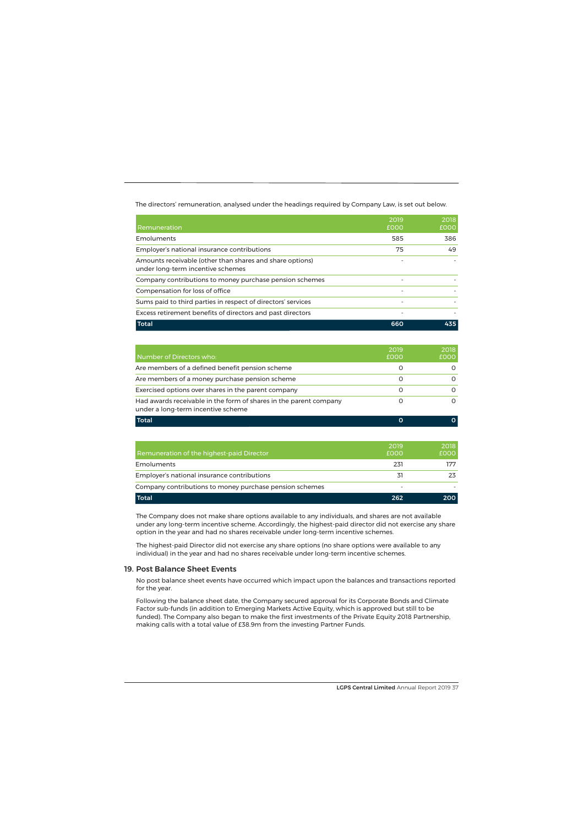The directors' remuneration, analysed under the headings required by Company Law, is set out below.

| <b>Total</b>                                                                                  | 660          | 435          |
|-----------------------------------------------------------------------------------------------|--------------|--------------|
| Excess retirement benefits of directors and past directors                                    |              |              |
| Sums paid to third parties in respect of directors' services                                  |              |              |
| Compensation for loss of office                                                               |              |              |
| Company contributions to money purchase pension schemes                                       |              |              |
| Amounts receivable (other than shares and share options)<br>under long-term incentive schemes |              |              |
| Employer's national insurance contributions                                                   | 75           | 49           |
| Emoluments                                                                                    | 585          | 386          |
| Remuneration                                                                                  | 2019<br>£000 | 2018<br>£000 |
|                                                                                               |              |              |

| Number of Directors who:                                                                                | 2019<br>£000 | 2018<br>£000 |
|---------------------------------------------------------------------------------------------------------|--------------|--------------|
| Are members of a defined benefit pension scheme                                                         | Ω            | <sup>o</sup> |
| Are members of a money purchase pension scheme                                                          | Ω            | <sup>o</sup> |
| Exercised options over shares in the parent company                                                     | ∩            | $\Omega$     |
| Had awards receivable in the form of shares in the parent company<br>under a long-term incentive scheme |              | O            |
| Total                                                                                                   | O            | O.           |

| Remuneration of the highest-paid Director               | 2019<br>£000 | 2018<br>£000 |
|---------------------------------------------------------|--------------|--------------|
| Emoluments                                              | 231          | ללו          |
| Employer's national insurance contributions             | 31           | 23           |
| Company contributions to money purchase pension schemes |              |              |
| <b>Total</b>                                            | 262          | 200          |

The Company does not make share options available to any individuals, and shares are not available under any long-term incentive scheme. Accordingly, the highest-paid director did not exercise any share option in the year and had no shares receivable under long-term incentive schemes.

 The highest-paid Director did not exercise any share options (no share options were available to any individual) in the year and had no shares receivable under long-term incentive schemes.

## 19. Post Balance Sheet Events

 No post balance sheet events have occurred which impact upon the balances and transactions reported for the year.

 Following the balance sheet date, the Company secured approval for its Corporate Bonds and Climate Factor sub-funds (in addition to Emerging Markets Active Equity, which is approved but still to be funded). The Company also began to make the first investments of the Private Equity 2018 Partnership, making calls with a total value of £38.9m from the investing Partner Funds.